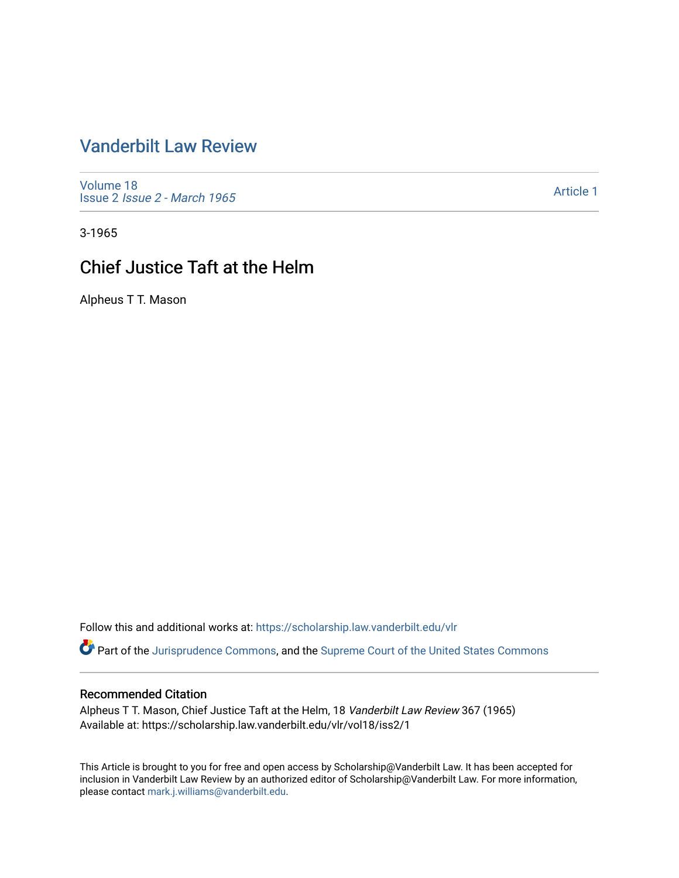# [Vanderbilt Law Review](https://scholarship.law.vanderbilt.edu/vlr)

[Volume 18](https://scholarship.law.vanderbilt.edu/vlr/vol18) Issue 2 [Issue 2 - March 1965](https://scholarship.law.vanderbilt.edu/vlr/vol18/iss2) 

[Article 1](https://scholarship.law.vanderbilt.edu/vlr/vol18/iss2/1) 

3-1965

# Chief Justice Taft at the Helm

Alpheus T T. Mason

Follow this and additional works at: [https://scholarship.law.vanderbilt.edu/vlr](https://scholarship.law.vanderbilt.edu/vlr?utm_source=scholarship.law.vanderbilt.edu%2Fvlr%2Fvol18%2Fiss2%2F1&utm_medium=PDF&utm_campaign=PDFCoverPages)

Part of the [Jurisprudence Commons](http://network.bepress.com/hgg/discipline/610?utm_source=scholarship.law.vanderbilt.edu%2Fvlr%2Fvol18%2Fiss2%2F1&utm_medium=PDF&utm_campaign=PDFCoverPages), and the [Supreme Court of the United States Commons](http://network.bepress.com/hgg/discipline/1350?utm_source=scholarship.law.vanderbilt.edu%2Fvlr%2Fvol18%2Fiss2%2F1&utm_medium=PDF&utm_campaign=PDFCoverPages) 

## Recommended Citation

Alpheus T T. Mason, Chief Justice Taft at the Helm, 18 Vanderbilt Law Review 367 (1965) Available at: https://scholarship.law.vanderbilt.edu/vlr/vol18/iss2/1

This Article is brought to you for free and open access by Scholarship@Vanderbilt Law. It has been accepted for inclusion in Vanderbilt Law Review by an authorized editor of Scholarship@Vanderbilt Law. For more information, please contact [mark.j.williams@vanderbilt.edu.](mailto:mark.j.williams@vanderbilt.edu)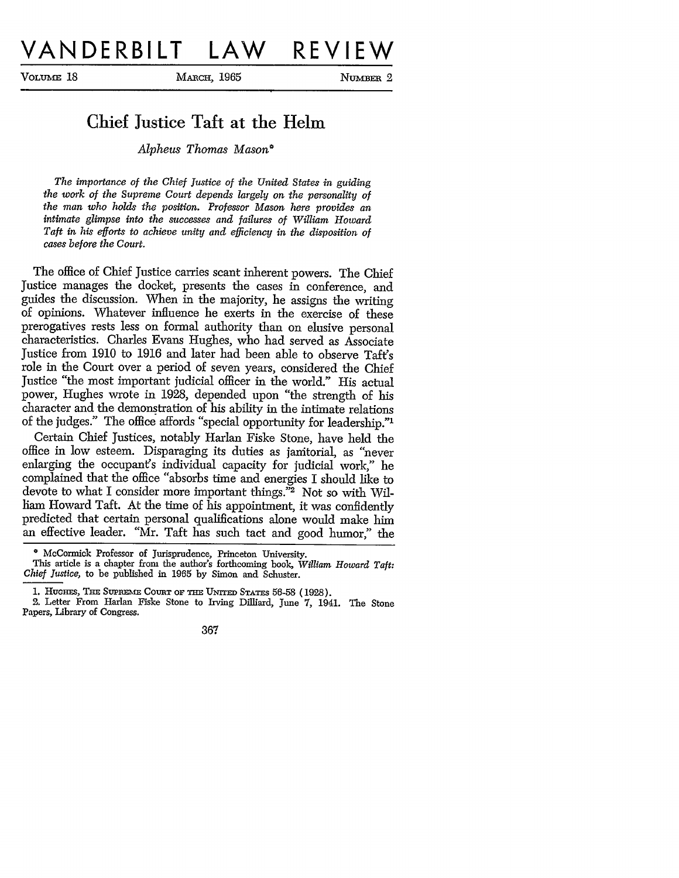**VOLUME 18** MARCH, 1965 **NUMBER 2** 

## Chief Justice Taft at the Helm

*Alpheus Thomas Mason\**

*The importance of the Chief Justice of the United States in guiding the work of the Supreme Court depends largely on the personality of the man who holds the position. Professor Mason here provides an intimate glimpse into the successes and failures of William Howard Taft in his efforts to achieve unity and efficiency in the disposition of cases before the Court.*

The office of Chief Justice carries scant inherent powers. The Chief Justice manages the docket, presents the cases in conference, and guides the discussion. When in the majority, he assigns the writing of opinions. Whatever influence he exerts in the exercise of these prerogatives rests less on formal authority than on elusive personal characteristics. Charles Evans Hughes, who had served as Associate Justice from 1910 to 1916 and later had been able to observe Taft's role in the Court over a period of seven years, considered the Chief Justice "the most important judicial officer in the world." His actual power, Hughes wrote in 1928, depended upon "the strength of his character and the demonstration of his ability in the intimate relations of the judges." The office affords "special opportunity for leadership."'

Certain Chief Justices, notably Harlan Fiske Stone, have held the office in low esteem. Disparaging its duties as janitorial, as "never enlarging the occupant's individual capacity for judicial work," he complained that the office "absorbs time and energies I should like to devote to what I consider more important things."2 Not so with William Howard Taft. At the time of his appointment, it was confidently predicted that certain personal qualifications alone would make him an effective leader. "Mr. Taft has such tact and good humor," the

<sup>•</sup> McCormick Professor of Jurisprudence, Princeton University.<br>This article is a chapter from the author's forthcoming book, William Howard Taft:<br>Chief Justice, to be published in 1965 by Simon and Schuster.

<sup>1.</sup> HUGHES, THE SUPREME COURT OF THE UNITED STATES 56-58 (1928).

<sup>2.</sup> Letter From Harlan Fiske Stone to Irving Dilliard, June 7, 1941. The Stone Papers, Library of Congress.

<sup>367</sup>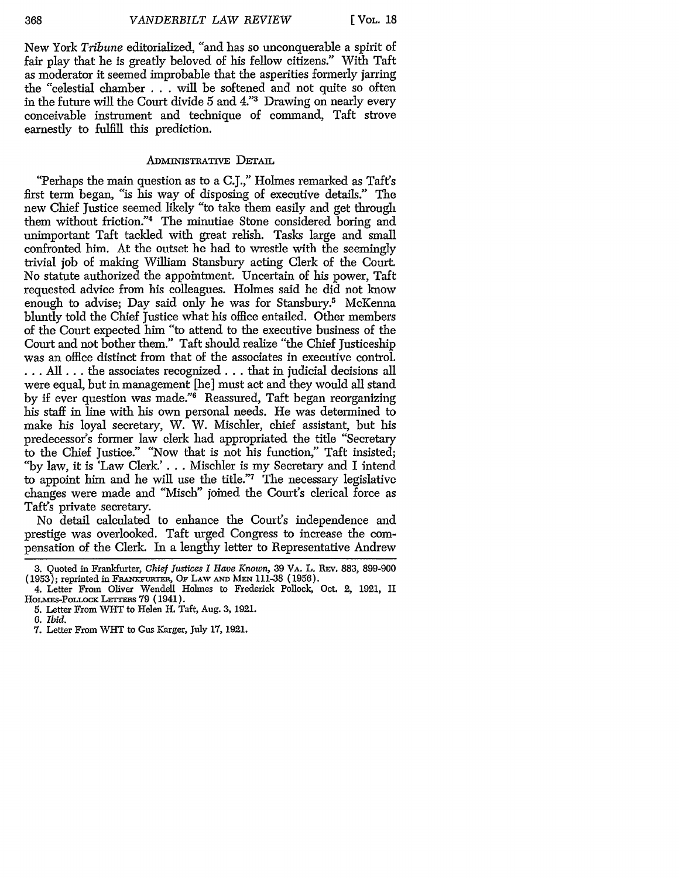New York *Tribune* editorialized, "and has so unconquerable a spirit of fair play that he is greatly beloved of his fellow citizens." With Taft as moderator it seemed improbable that the asperities formerly jarring the "celestial chamber . . . will be softened and not quite so often in the future will the Court divide 5 and 4."3 Drawing on nearly every conceivable instrument and technique of command, Taft strove earnestly to fulfill this prediction.

### **ADMINISTRATIVE DETAIL**

"Perhaps the main question as to a C.J.," Holmes remarked as Taft's first term began, "is his way of disposing of executive details." The new Chief Justice seemed likely "to take them easily and get through them without friction."4 The minutiae Stone considered boring and unimportant Taft tackled with great relish. Tasks large and small confronted him. At the outset he had to wrestle with the seemingly trivial job of making William Stansbury acting Clerk of the Court. No statute authorized the appointment. Uncertain of his power, Taft requested advice from his colleagues. Holmes said he did not know enough to advise; Day said only he was for Stansbury.<sup>5</sup> McKenna bluntly told the Chief Justice what his office entailed. Other members of the Court expected him "to attend to the executive business of the Court and not bother them." Taft should realize "the Chief Justiceship was an office distinct from that of the associates in executive control. **... All...** the associates recognized.., that in judicial decisions all were equal, but in management [he] must act and they would all stand by if ever question was made."6 Reassured, Taft began reorganizing his staff in line with his own personal needs. He was determined to make his loyal secretary, W. W. Mischler, chief assistant, but his predecessor's former law clerk had appropriated the title "Secretary to the Chief Justice." "Now that is not his function," Taft insisted; "by law, it is 'Law Clerk.'... Mischler is my Secretary and I intend to appoint him and he will use the title."7 The necessary legislative changes were made and "Misch" joined the Court's clerical force as Taft's private secretary.

No detail calculated to enhance the Court's independence and prestige was overlooked. Taft urged Congress to increase the compensation of the Clerk. In a lengthy letter to Representative Andrew

*6. Ibid.*

<sup>3.</sup> Quoted in Frankfurter, *Chief Justices I Have Known,* 39 VA. L. **REv.** 883, 899-900 (1953); reprinted in FRAN'FuRmrE, OF LAW **AND** MEN 111-38 (1956).

<sup>4.</sup> Letter From Oliver Wendell Holmes to Frederick Pollock, Oct. 2, 1921, II HOLMES-POLLOCK LETTERS 79 (1941).

<sup>5.</sup> Letter From WHT to Helen H. Taft, Aug. 3, 1921.

<sup>7.</sup> Letter From WHT to Gus Karger, July **17,** 1921.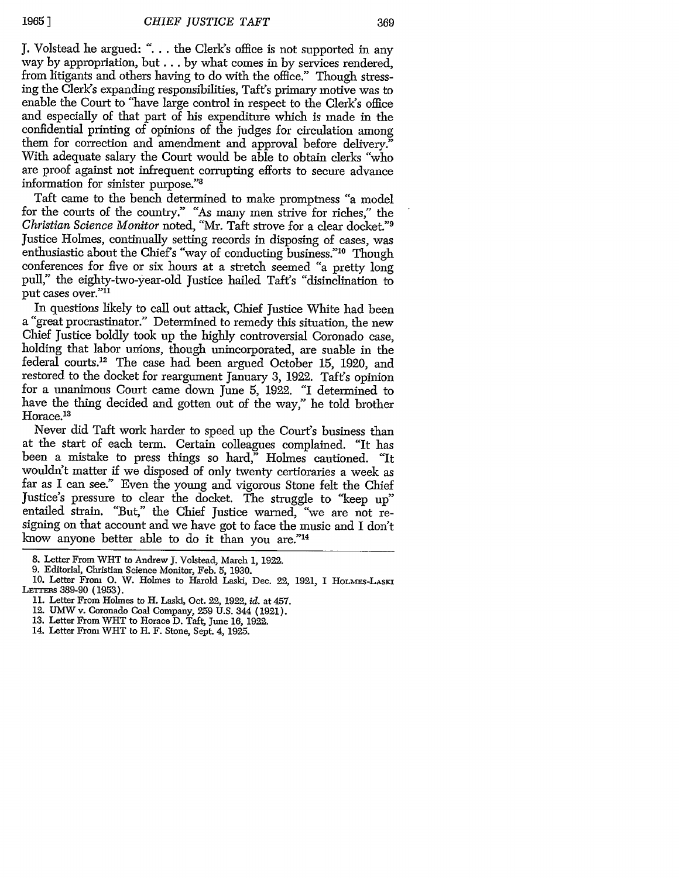J. Volstead he argued: *"....* the Clerk's office is not supported in any way by appropriation, but... by what comes in by services rendered, from litigants and others having to do with the office." Though stressing the Clerk's expanding responsibilities, Taft's primary motive was to enable the Court to "have large control in respect to the Clerk's office and especially of that part of his expenditure which is made in the confidential printing of opinions of the judges for circulation among them for correction and amendment and approval before delivery." With adequate salary the Court would be able to obtain clerks "who are proof against not infrequent corrupting efforts to secure advance information for sinister purpose."8

Taft came to the bench determined to make promptness "a model for the courts of the country." "As many men strive for riches," the *Christian Science Monitor* noted, "Mr. Taft strove for a clear docket."9 Justice Holmes, continually setting records in disposing of cases, was enthusiastic about the Chief's "way of conducting business."<sup>10</sup> Though conferences for five or six hours at a stretch seemed "a pretty long pull," the eighty-two-year-old Justice hailed Taft's "disinclination to put cases over."11

In questions likely to call out attack, Chief Justice White had been a "great procrastinator." Determined to remedy this situation, the new Chief Justice boldly took up the highly controversial Coronado case, holding that labor unions, though unincorporated, are suable in the federal courts.<sup>12</sup> The case had been argued October 15, 1920, and restored to the docket for reargument January 3, 1922. Taft's opinion for a unanimous Court came down June 5, **1922.** "I determined to have the thing decided and gotten out of the way," he told brother Horace.<sup>13</sup>

Never did Taft work harder to speed up the Court's business than at the start of each term. Certain colleagues complained. "It has been a mistake to press things so hard," Holmes cautioned. "It wouldh't matter if we disposed of only twenty certioraries a week as far as I can see." Even the young and vigorous Stone felt the Chief Justice's pressure to clear the docket. The struggle to "keep *up"* entailed strain. "But," the Chief Justice warned, "we are not resigning on that account and we have got to face the music and I don't know anyone better able to do it than you are."14

14. Letter From WHT to H. F. Stone, Sept. 4, 1925.

<sup>8.</sup> Letter From WHT to Andrew J. Volstead, March 1, **1922.**

<sup>9.</sup> Editorial, Christian Science Monitor, Feb. 5, 1930.

<sup>10.</sup> Letter From **0.** W. Holmes to Harold Laski, Dec. 22, 1921, I HoLmEs-LAsKI LErrEms 389-90 (1953).

<sup>11.</sup> Letter From Holmes to H. Laski, Oct. 22, 1922, *id.* at 457.

<sup>12.</sup> UMW v. Coronado Coal Company, 259 U.S. 344 (1921).

<sup>13.</sup> Letter From WHT to Horace D. Taft, June 16, 1922.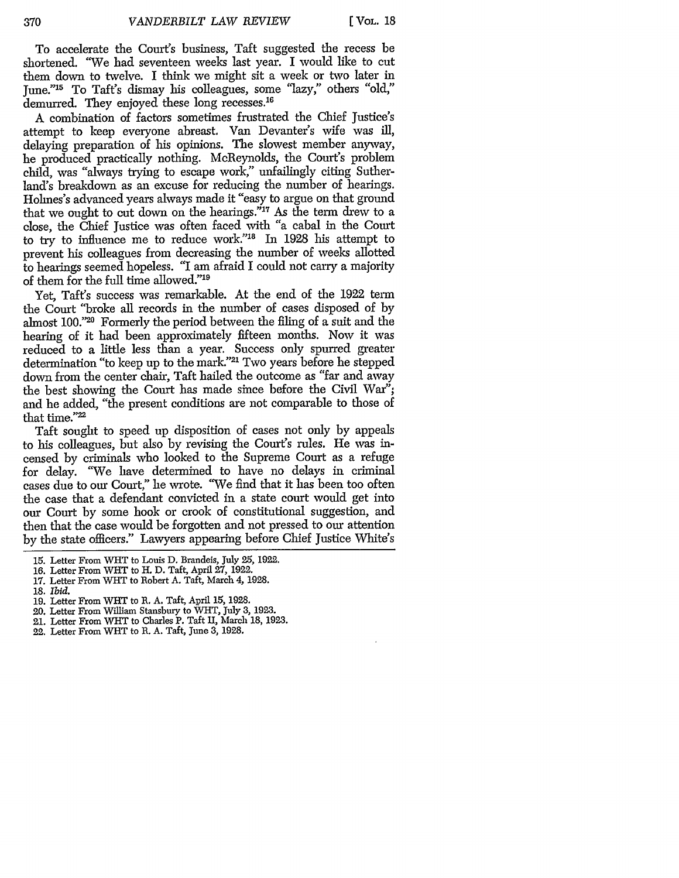To accelerate the Court's business, Taft suggested the recess be shortened. "We had seventeen weeks last year. I would like to cut them down to twelve. I think we might sit a week or two later in June."'5 To Taft's dismay his colleagues, some "lazy," others "old," demurred. They enjoyed these long recesses.<sup>16</sup>

A combination of factors sometimes frustrated the Chief Justice's attempt to keep everyone abreast. Van Devanter's wife was ill, delaying preparation of his opinions. The slowest member anyway, he produced practically nothing. McReynolds, the Court's problem child, was "always trying to escape work," unfailingly citing Sutherland's breakdown as an excuse for reducing the number of hearings. Holmes's advanced years always made it "easy to argue on that ground that we ought to cut down on the hearings." $17$  As the term drew to a close, the Chief Justice was often faced with "a cabal in the Court to try to influence me to reduce work."<sup>18</sup> In 1928 his attempt to prevent his colleagues from decreasing the number of weeks allotted to hearings seemed hopeless. "I am afraid I could not carry a majority of them for the full time allowed."<sup>19</sup>

Yet, Taft's success was remarkable. At the end of the 1922 term the Court "broke all records in the number of cases disposed of by almost 100."20 Formerly the period between the filing of a suit and the hearing of it had been approximately fifteen months. Now it was reduced to a little less than a year. Success only spurred greater determination "to keep up to the mark."<sup>21</sup> Two years before he stepped down from the center chair, Taft hailed the outcome as "far and away the best showing the Court has made since before the Civil War"; and he added, "the present conditions are not comparable to those of that time."<sup>22</sup>

Taft sought to speed up disposition of cases not only by appeals to his colleagues, but also by revising the Court's rules. He was incensed by criminals who looked to the Supreme Court as a refuge for delay. "We have determined to have no delays in criminal cases due to our Court," he wrote. "We find that it has been too often the case that a defendant convicted in a state court would get into our Court by some hook or crook of constitutional suggestion, and then that the case would be forgotten and not pressed to our attention by the state officers." Lawyers appearing before Chief Justice White's

- **18.** *ibid.*
- 19. Letter From WlT to R. A. Taft, April 15, 1928.
- 20. Letter From William Stansbury to WHT, July **3,** 1923.
- 21. Letter From WlT to Charles P. Taft II, March 18, 1923.
- 22. Letter From WIlT to R. A. Taft, June **3,** 1928.

<sup>15.</sup> Letter From WHT to Louis D. Brandeis, July 25, 1922.

<sup>16.</sup> Letter From WHT to H. D. Taft, April 27, 1922.

<sup>17.</sup> Letter From WHT to Robert A. Taft, March 4, 1928.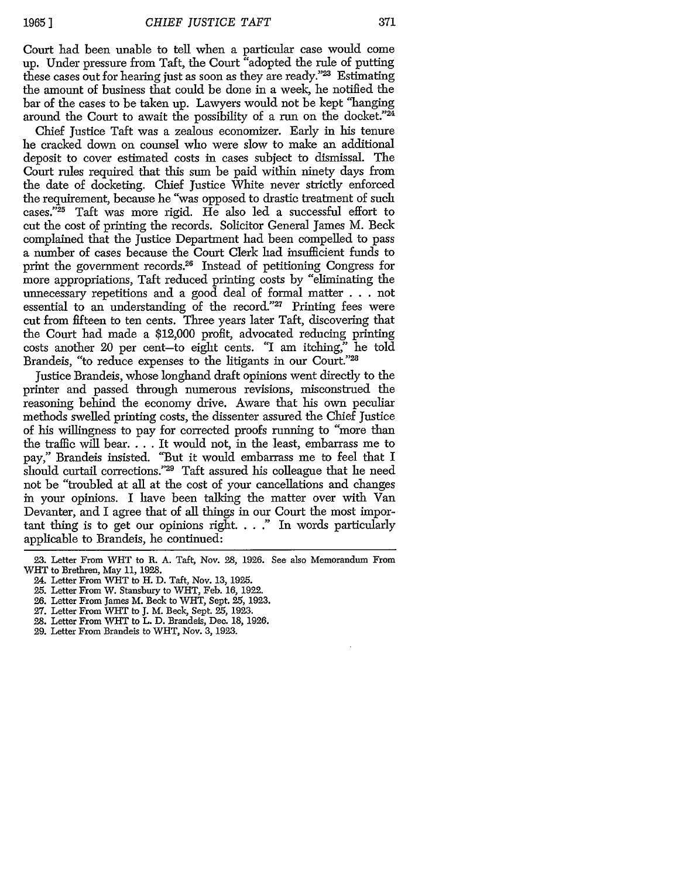Court had been unable to tell when a particular case would come up. Under pressure from Taft, the Court "adopted the rule of putting these cases out for hearing just as soon as they are ready."23 Estimating the amount of business that could be done in a week, he notified the bar of the cases to be taken up. Lawyers would not be kept "hanging around the Court to await the possibility of a run on the docket."24

Chief Justice Taft was a zealous economizer. Early in his tenure he cracked down on counsel who were slow to make an additional deposit to cover estimated costs in cases subject to dismissal. The Court rules required that this sum be paid within ninety days from the date of docketing. Chief Justice White never strictly enforced the requirement, because he "was opposed to drastic treatment of such cases." 25 Taft was more rigid. He also led a successful effort to cut the cost of printing the records. Solicitor General James M. Beck complained that the Justice Department had been compelled to pass a number of cases because the Court Clerk had insufficient funds to print the government records.<sup>26</sup> Instead of petitioning Congress for more appropriations, Taft reduced printing costs by "eliminating the unnecessary repetitions and a good deal of formal matter . . . not essential to an understanding of the record."<sup>27</sup> Printing fees were cut from fifteen to ten cents. Three years later Taft, discovering that the Court had made a \$12,000 profit, advocated reducing printing costs another 20 per cent-to eight cents. "I am itching," he told Brandeis, "to reduce expenses to the litigants in our Court."28

Justice Brandeis, whose longhand draft opinions went directly to the printer and passed through numerous revisions, misconstrued the reasoning behind the economy drive. Aware that his own peculiar methods swelled printing costs, the dissenter assured the Chief Justice of his willingness to pay for corrected proofs running to "more than the traffic will bear.... It would not, in the least, embarrass me to pay," Brandeis insisted. "But it would embarrass me to feel that I should curtail corrections."<sup>29</sup> Taft assured his colleague that he need not be "troubled at all at the cost of your cancellations and changes in your opinions. I have been talking the matter over with Van Devanter, and I agree that of all things in our Court the most important thing is to get our opinions right.  $\ldots$  " In words particularly applicable to Brandeis, he continued:

- 25. Letter From W. Stansbury to WHT, Feb. 16, 1922.
- 26. Letter From James M. Beck to WHT, Sept. 25, 1923.
- 27. Letter From WHT to J. M. Beck, Sept. 25, 1923.
- **28.** Letter From WHT to L. D. Brandeis, Dec. 18, 1926.
- **29.** Letter From Brandeis to WHT, Nov. 3, 1923.

<sup>23.</sup> Letter From WHT to R. A. Taft, Nov. 28, 1926. See also Memorandum From WHT to Brethren, May 11, 1928.

<sup>24.</sup> Letter From WHT to H. D. Taft, Nov. 13, 1925.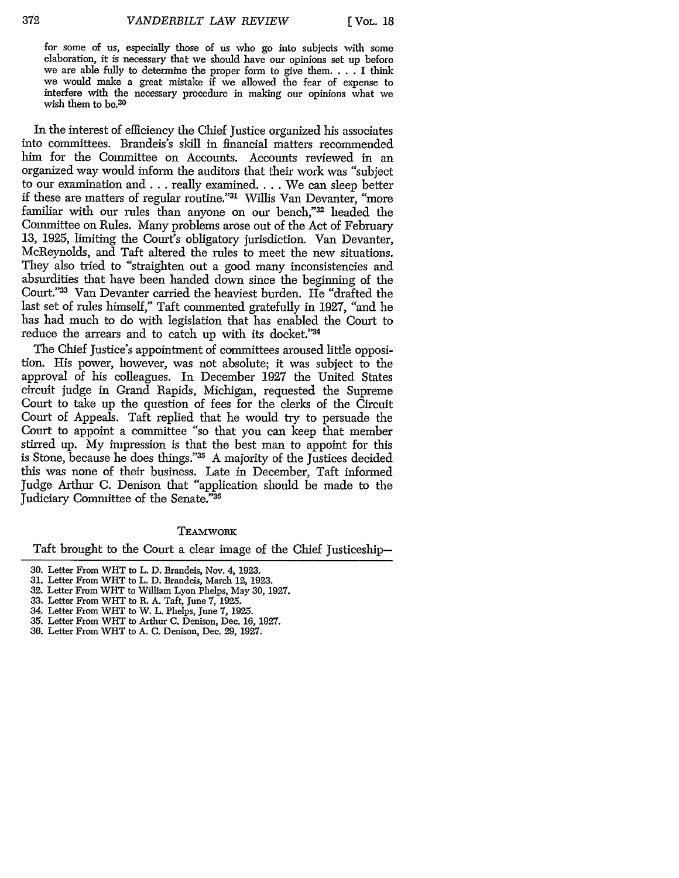**[** VOL. **IS**

for some of us, especially those of us who go into subjects with some elaboration, it is necessary that we should have our opinions set up before we are able fully to determine the proper form to give them. . . . I think we would make a great mistake if we allowed the fear of expense to interfere with the necessary procedure in making our opinions what we wish them to be.30

In the interest of efficiency the Chief Justice organized his associates into committees. Brandeis's skill in financial matters recommended him for the Committee on Accounts. Accounts reviewed in an organized way would inform the auditors that their work was "subject to our examination and... really examined.... We can sleep better if these are matters of regular routine."31 Willis Van Devanter, "more familiar with our rules than anyone on our bench,"32 headed the Committee on Rules. Many problems arose out of the Act of February **13,** 1925, limiting the Court's obligatory jurisdiction. Van Devanter, McReynolds, and Taft altered the rules to meet the new situations. They also tried to "straighten out a good many inconsistencies and absurdities that have been handed down since the beginning of the Court."<sup>33</sup> Van Devanter carried the heaviest burden. He "drafted the last set of rules himself," Taft commented gratefully in 1927, "and he has had much to do with legislation that has enabled the Court to reduce the arrears and to catch up with its docket."34

The Chief Justice's appointment of committees aroused little opposition. His power, however, was not absolute; it was subject to the approval of his colleagues. In December 1927 the United States circuit judge in Grand Rapids, Michigan, requested the Supreme Court to take up the question of fees for the clerks of the Circuit Court of Appeals. Taft replied that he would try to persuade the Court to appoint a committee "so that you can keep that member stirred up. My impression is that the best man to appoint for this is Stone, because he does things."35 A majority of the Justices decided this was none of their business. Late in December, Taft informed Judge Arthur C. Denison that "application should be made to the Judiciary Committee of the Senate."<sup>36</sup>

#### TEAMWORK

Taft brought to the Court a clear image of the Chief Justiceship-

- 32. Letter From WHT to William Lyon Phelps, May 30, 1927.
- 33. Letter From WHT to R. A. Taft, June 7, 1925.
- 34. Letter From WiT to W. L. Phelps, June 7, 1925.
- 35. Letter From WHT to Arthur C. Denison, Dec. **16,** 1927.
- 36. Letter From WHT to A. C. Denison, Dec. 29, 1927.

<sup>30.</sup> Letter From WHT to L. D. Brandeis, Nov. 4, 1923.

<sup>31.</sup> Letter From WHT to L. D. Brandeis, March 12, 1923.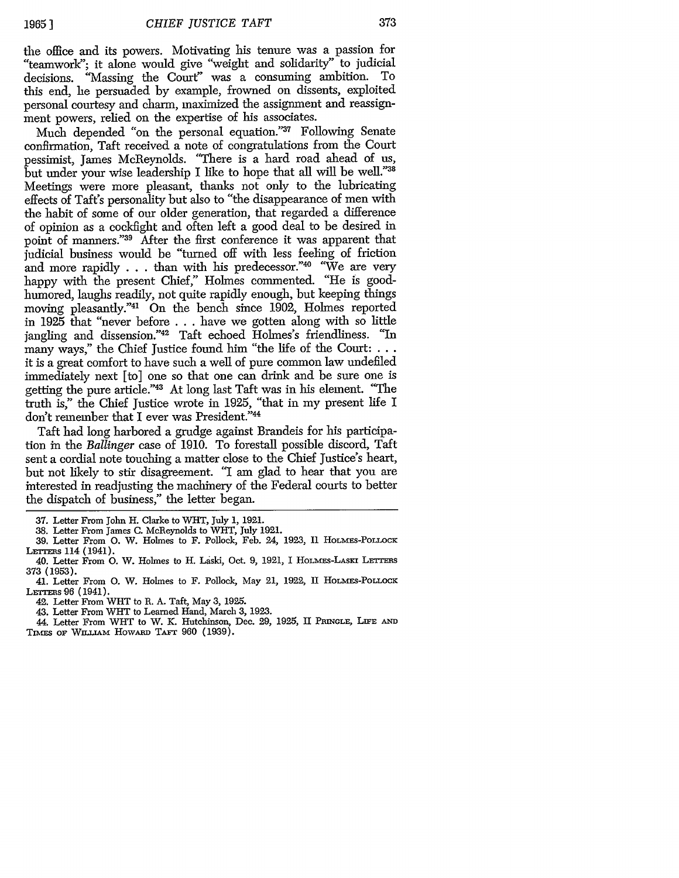the office and its powers. Motivating his tenure was a passion for "teamwork"; it alone would give "weight and solidarity" to judicial decisions. "Massing the Court" was a consuming ambition. To this end, he persuaded by example, frowned on dissents, exploited personal courtesy and charm, maximized the assignment and reassignment powers, relied on the expertise of his associates.

Much depended "on the personal equation."37 Following Senate confirmation, Taft received a note of congratulations from the Court pessimist, James McReynolds. "There is a hard road ahead of us, but under your wise leadership I like to hope that all will be well."38 Meetings were more pleasant, thanks not only to the lubricating effects of Taft's personality but also to "the disappearance of men with the habit of some of our older generation, that regarded a difference of opinion as a cockfight and often left a good deal to be desired in point of manners."39 After the first conference it was apparent that judicial business would be "turned off with less feeling of friction and more rapidly . . . than with his predecessor."<sup>40</sup> "We are very happy with the present Chief," Holmes commented. "He is goodhumored, laughs readily, not quite rapidly enough, but keeping things moving pleasantly."41 On the bench since 1902, Holmes reported in 1925 that "never before .. .have we gotten along with so little jangling and dissension."42 Taft echoed Holmes's friendliness. "In many ways," the Chief Justice found him "the life of the Court: **...** it is a great comfort to have such a well of pure common law undefiled immediately next [to] one so that one can drink and be sure one is getting the pure article."43 At long last Taft was in his element. "The truth is," the Chief Justice wrote in 1925, "that in my present life I don't remember that I ever was President."44

Taft had long harbored a grudge against Brandeis for his participation in the *Ballinger* case of 1910. To forestall possible discord, Taft sent a cordial note touching a matter close to the Chief Justice's heart, but not likely to stir disagreement. "I am glad to hear that you are interested in readjusting the machinery of the Federal courts to better the dispatch of business," the letter began.

<sup>37.</sup> Letter From John H. Clarke to WHT, July 1, 1921.

<sup>38.</sup> Letter From James C. McReynolds to WHT, July 1921.

<sup>39.</sup> Letter From O. W. Holmes to F. Pollock, Feb. 24, 1923, Il HOLMES-POLLOCK LETTERS 114 (1941).

<sup>40.</sup> Letter From **0.** W. Holmes to H. Laski, Oct. 9, 1921, I HoLAsS-LAsKr LErras 373 (1953).

<sup>41.</sup> Letter From **0.** W. Holmes to F. Pollock, May 21, 1922, II HOLmES-POLLOCK LETTERS 96 (1941).

<sup>42.</sup> Letter From WHT to R. A. Taft, May 3, 1925.

<sup>43.</sup> Letter From WHT to Learned Hand, March 3, 1923.

<sup>44.</sup> Letter From WHT to W. *K.* Hutchinson, Dec. 29, 1925, II PmNGLE, **LIFE AN**

TIMES OF WILLIAM HOWARD TAFT 960 (1939).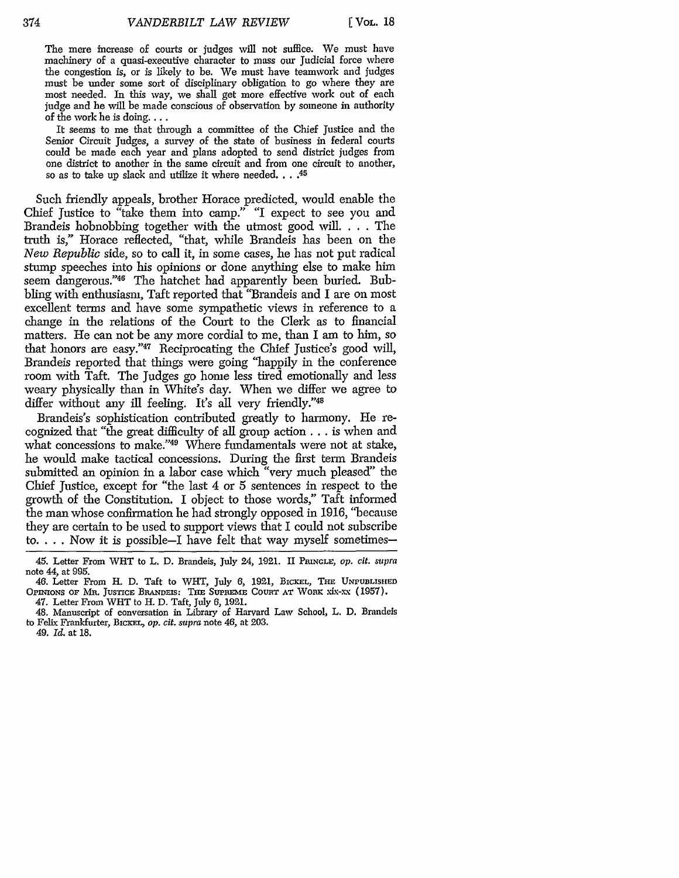The mere increase of courts or judges will not suffice. We must have machinery of a quasi-executive character to mass our Judicial force where the congestion is, or is likely to be. We must have teamwork and judges must be under some sort of disciplinary obligation to go where they are most needed. In this way, we shall get more effective work out of each judge and he will be made conscious of observation by someone in authority of the work he is doing....

It seems to me that through a committee of the Chief Justice and the Senior Circuit Judges, a survey of the state of business in federal courts could be made each year and plans adopted to send district judges from one district to another in the same circuit and from one circuit to another, so as to take up slack and utilize it where needed .... **45**

Such friendly appeals, brother Horace predicted, would enable the Chief justice to "take them into camp." "I expect to see you and Brandeis hobnobbing together with the utmost good will .... The truth is," Horace reflected, "that, while Brandeis has been on the *New Republic* side, so to call it, in some cases, he has not put radical stump speeches into his opinions or done anything else to make him seem dangerous."<sup>46</sup> The hatchet had apparently been buried. Bubbling with enthusiasm, Taft reported that "Brandeis and I are on most excellent terms and have some sympathetic views in reference to a change in the relations of the Court to the Clerk as to financial matters. He can not be any more cordial to me, than I am to him, so that honors are easy."47 Reciprocating the Chief Justice's good will, Brandeis reported that things were going "happily in the conference room with Taft. The Judges go home less tired emotionally and less weary physically than in White's day. When we differ we agree to differ without any ill feeling. It's all very friendly."48

Brandeis's sophistication contributed greatly to harmony. He recognized that "the great difficulty of all group action... is when and what concessions to make."49 Where fundamentals were not at stake, he would make tactical concessions. During the first term Brandeis submitted an opinion in a labor case which "very much pleased" the Chief Justice, except for "the last 4 or 5 sentences in respect to the growth of the Constitution. I object to those words," Taft informed the man whose confirmation he had strongly opposed in 1916, "because they are certain to be used to support views that I could not subscribe **to..** .. Now it is possible-I have felt that way myself sometimes-

49. *Id.* at 18.

<sup>45.</sup> Letter From WHT to L. D. Brandeis, July 24, 1021. II **PmNGLE,** *op. cit. supra* note 44, at 995.

<sup>46.</sup> Letter From H. D. Taft to WHT, July 6, 1921, BICKEL, THE UNPUBLISHED OPINIONS OF MR. JUSTICE BRANDEIS: THE SUPREME COURT AT WORK xix-xx (1957). 47. Letter From WHT to H. D. Taft, July 6, 1921.

<sup>48.</sup> Manuscript of conversation in Library of Harvard Lav School, L. D. Brandeis to Felix Frankfurter, BicKEL, *op. cit. supra* note 46, at 203.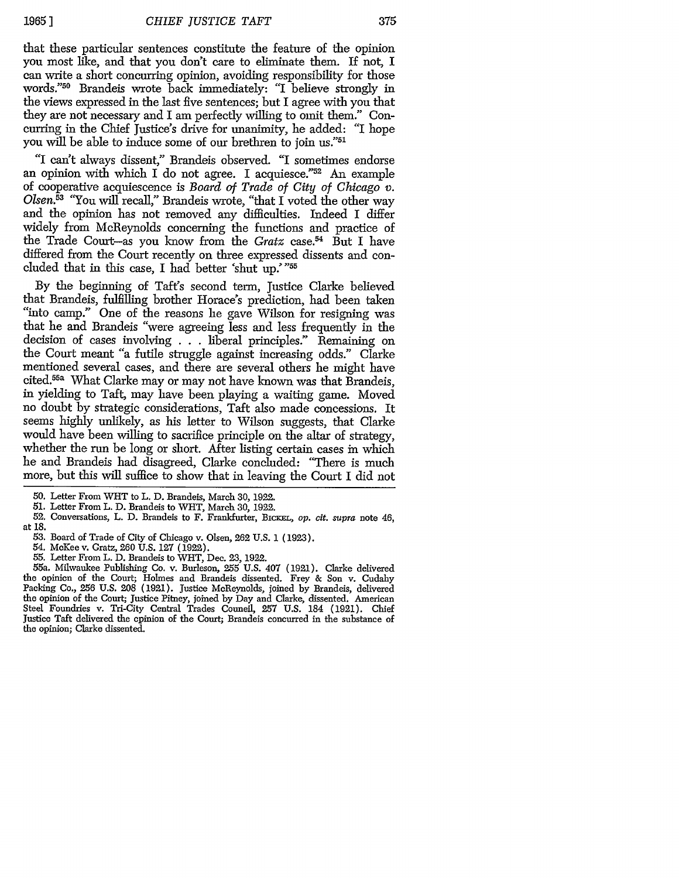**19651**

that these particular sentences constitute the feature of the opinion you most like, and that you don't care to eliminate them. If not, I can write a short concurring opinion, avoiding responsibility for those words."50 Brandeis wrote back immediately: "I believe strongly in the views expressed in the last five sentences; but I agree with you that they are not necessary and I am perfectly willing to omit them." Concurring in the Chief Justice's drive for unanimity, he added: "I hope you will be able to induce some of our brethren to join us."51

"I can't always dissent," Brandeis observed. "I sometimes endorse an opinion with which I do not agree. I acquiesce." $52$  An example of cooperative acquiescence is *Board of Trade of City of Chicago v. Olsen.5* "You will recall," Brandeis wrote, "that I voted the other way and the opinion has not removed any difficulties. Indeed I differ widely from McReynolds concerning the functions and practice of the Trade Court-as you know from the *Gratz* case.<sup>54</sup> But I have differed from the Court recently on three expressed dissents and concluded that in this case, I had better 'shut up.'"55

By the beginning of Taft's second term, Justice Clarke believed that Brandeis, fulfilling brother Horace's prediction, had been taken "into camp." One of the reasons he gave Wilson for resigning was that he and Brandeis "were agreeing less and less frequently in the decision of cases involving . . . liberal principles." Remaining on the Court meant "a futile struggle against increasing odds." Clarke mentioned several cases, and there are several others he might have cited.55a What Clarke may or may not have known was that Brandeis, in yielding to Taft, may have been playing a waiting game. Moved no doubt by strategic considerations, Taft also made concessions. It seems highly unlikely, as his letter to Wilson suggests, that Clarke would have been willing to sacrifice principle on the altar of strategy, whether the run be long or short. After listing certain cases in which he and Brandeis had disagreed, Clarke concluded: "There is much more, but this will suffice to show that in leaving the Court I did not

<sup>50.</sup> Letter From WHT to L. D. Brandeis, March 30, 1922.

<sup>51.</sup> Letter From L. D. Brandeis to WHT, March 30, 1922.

<sup>52.</sup> Conversations, L. D. Brandeis to F. Frankfurter, BiCKEL, *op. cit. supra* note 46, at 18.

<sup>53.</sup> Board of Trade of City of Chicago v. Olsen, 262 U.S. 1 (1923).

<sup>54.</sup> McKee v. Gratz, 260 U.S. 127 (1922).

<sup>55.</sup> Letter From L. D. Brandeis to WHT, Dec. 23, 1922.

<sup>55</sup>a. Milwaukee Publishing Co. v. Burleson, 255 U.S. 407 (1921). Clarke delivered the opinion of the Court; Holmes and Brandeis dissented. Frey & Son v. Cudahy Packing Co., **256** U.S. 208 (1921). Justice McReynolds, joined by Brandeis, delivered the opinion of the Court; Justice Pitney, joined by Day and Clarke, dissented. American Steel Foundries v. Tri-City Central Trades Council, 257 U.S. 184 (1921). Chief Justice Taft delivered the opinion of the Court; Brandeis concurred in the substance of the opinion; Clarke dissented.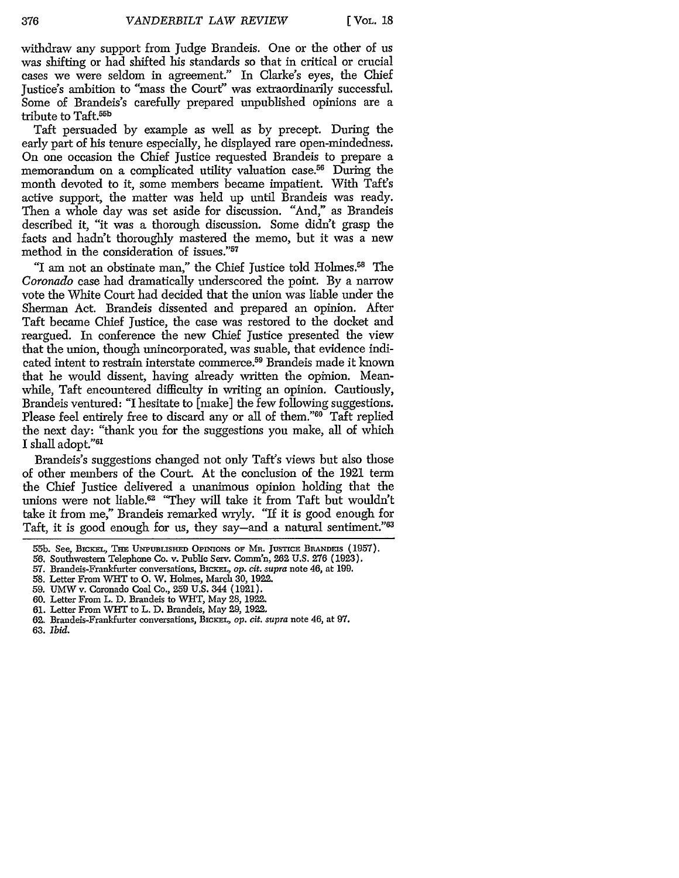withdraw any support from Judge Brandeis. One or the other of us was shifting or had shifted his standards so that in critical or crucial cases we were seldom in agreement." In Clarke's eyes, the Chief Justice's ambition to "mass the Court" was extraordinarily successful. Some of Brandeis's carefully prepared unpublished opinions are a tribute to Taft.55b

Taft persuaded by example as well as by precept. During the early part of his tenure especially, he displayed rare open-mindedness. On one occasion the Chief Justice requested Brandeis to prepare a memorandum on a complicated utility valuation case.<sup>56</sup> During the month devoted to it, some members became impatient. With Taft's active support, the matter was held up until Brandeis was ready. Then a whole day was set aside for discussion. "And," as Brandeis described it, "it was a thorough discussion. Some didn't grasp the facts and hadn't thoroughly mastered the memo, but it was a new method in the consideration of issues."<sup>57</sup>

"I am not an obstinate man," the Chief Justice told Holmes.<sup>58</sup> The Coronado case had dramatically underscored the point. By a narrow vote the White Court had decided that the union was liable under the Sherman Act. Brandeis dissented and prepared an opinion. After Taft became Chief Justice, the case was restored to the docket and reargued. In conference the new Chief Justice presented the view that the union, though unincorporated, was suable, that evidence indicated intent to restrain interstate commerce.59 Brandeis made it known that he would dissent, having already written the opinion. Meanwhile, Taft encountered difficulty in writing an opinion. Cautiously, Brandeis ventured: "I hesitate to [make] the few following suggestions. Please feel entirely free to discard any or all of them."<sup>60</sup> Taft replied the next day: "thank you for the suggestions you make, all of which I shall adopt."<sup>61</sup>

Brandeis's suggestions changed not only Taft's views but also those of other members of the Court. At the conclusion of the 1921 term the Chief Justice delivered a unanimous opinion holding that the unions were not liable.62 "They will take it from Taft but wouldn't take it from *me,"* Brandeis remarked wryly. "If it is good enough for Taft, it is good enough for us, they say—and a natural sentiment."<sup>63</sup>

- 60. Letter From L. D. Brandeis to WHT, May **28,** 1922.
- **61.** Letter From WHT to L. D. Brandeis, May 29, 1922.
- 62. Brandeis-Frankfurter conversations, BICKEL, op. cit. supra note 46, at 97.
- 63. *ibid.*

<sup>55</sup>b. See, BxcxrL, Tim UNPuBsIHE **OPInIONS OF** MR. **JUSTICE** BRANDEIS **(1957).**

*<sup>56.</sup>* Southwestern Telephone Co. v. Public Serv. Comm'n, **262 U.S. 276** (1923).

<sup>57.</sup> Brandeis-Frankfurter conversations, BICKEL, op. cit. supra note 46, at 199.

<sup>58.</sup> Letter From **WHT** to **0.** W. Holmes, March 30, 1922.

<sup>59.</sup> UMW v. Coronado Coal Co., 259 U.S. 344 (1921).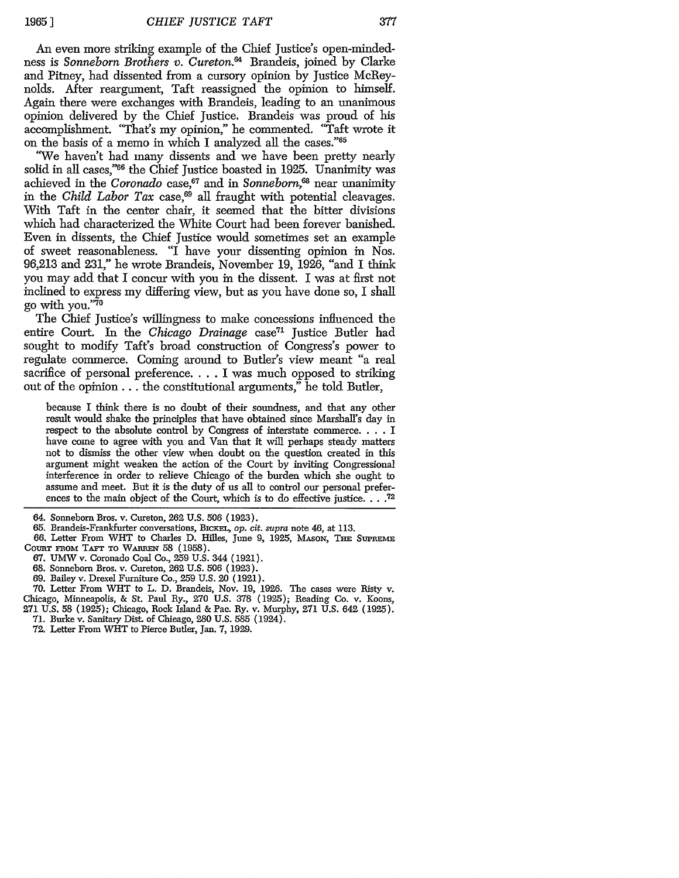An even more striking example of the Chief Justice's open-mindedness is *Sonneborn Brothers v. Cureton.*<sup>64</sup> Brandeis, joined by Clarke and Pitney, had dissented from a cursory opinion by Justice McReynolds. After reargument, Taft reassigned the opinion to himself. Again there were exchanges with Brandeis, leading to an unanimous opinion delivered by the Chief Justice. Brandeis was proud of his accomplishment. "That's my opinion," he commented. "Taft wrote it on the basis of a memo in which I analyzed all the cases."<sup>65</sup>

'Ve haven't had many dissents and we have been pretty nearly solid in all cases,"66 the Chief Justice boasted in 1925. Unanimity was achieved in the *Coronado* case,<sup>67</sup> and in *Sonneborn*,<sup>68</sup> near unanimity in the *Child Labor Tax* case,<sup>69</sup> all fraught with potential cleavages. With Taft in the center chair, it seemed that the bitter divisions which had characterized the White Court had been forever banished. Even in dissents, the Chief Justice would sometimes set an example of sweet reasonableness. "I have your dissenting opinion in Nos. 96,213 and 231," he wrote Brandeis, November 19, 1926, "and I think you may add that I concur with you in the dissent. I was at first not inclined to express my differing view, but as you have done so, I shall go with **you."<sup>70</sup>**

The Chief Justice's willingness to make concessions influenced the entire Court. In the *Chicago Drainage* case<sup>71</sup> Justice Butler had sought to modify Taft's broad construction of Congress's power to regulate commerce. Coming around to Butler's view meant "a real sacrifice of personal preference.... I was much opposed to striking out of the opinion  $\ldots$  the constitutional arguments," he told Butler,

because I think there is no doubt of their soundness, and that any other result would shake the principles that have obtained since Marshall's day in respect to the absolute control by Congress of interstate commerce **....** I have come to agree with you and Van that it will perhaps steady matters not to dismiss the other view when doubt on the question created in this argument might weaken the action of the Court by inviting Congressional interference in order to relieve Chicago of the burden which she ought to assume and meet. But it is the duty of us all to control our personal preferences to the main object of the Court, which is to do effective justice. . . .<sup>72</sup>

- 65. Brandeis-Frankfurter conversations, BICKEL, *op. cit. supra* note 46, at 113.
- 66. Letter From WHT to Charles D. Hilles, June 9, 1925, MAsox, ThE **SUPREmE** COURT FROM TAFT TO WARREN 58 (1958).
	- 67. UMW v. Coronado Coal Co., 259 U.S. 344 (1921).
	- 68. Sonneborn Bros. v. Cureton, **262** U.S. 506 (1923).
	- 69. Bailey v. Drexel Furniture Co., 259 U.S. 20 (1921).

70. Letter From WHT to L. D. Brandeis, Nov. 19, 1926. The cases were Risty v. Chicago, Minneapolis, & St. Paul Ry., 270 U.S. 378 (1925); Reading Co. v. Koons, **271** U.S. 58 (1925); Chicago, Rock Island & Pac. Ry. v. Murphy, 271 U.S. 642 (1925).

- 71. Burke v. Sanitary Dist. of Chicago, 280 U.S. 585 (1924).
- 72. Letter From WHT to Pierce Butler, Jan. 7, 1929.

<sup>64.</sup> Sonneborn Bros. v. Cureton, 262 U.S. 506 (1923).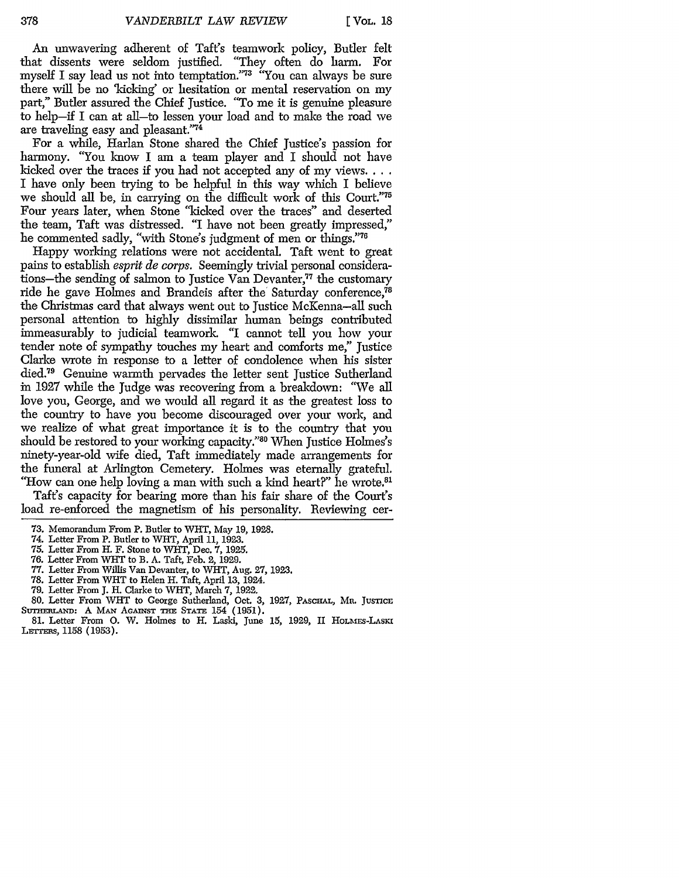An unwavering adherent of Taft's teamwork policy, Butler felt that dissents were seldom justified. "They often do harm. For myself I say lead us not into temptation."73 "You can always be sure there will be no 'kicking' or hesitation or mental reservation on my part," Butler assured the Chief Justice. "To me it is genuine pleasure to help-if I can at all-to lessen your load and to make the road we are traveling easy and pleasant."74

For a while, Harlan Stone shared the Chief Justice's passion for harmony. "You know I am a team player and I should not have kicked over the traces if you had not accepted any of my **views....** I have only been trying to be helpful in this way which I believe we should all be, in carrying on the difficult work of this Court."75 Four years later, when Stone "kicked over the traces" and deserted the team, Taft was distressed. "I have not been greatly impressed," he commented sadly, "with Stone's judgment of men or things."<sup>76</sup>

Happy working relations were not accidental. Taft went to great pains to establish *esprit de corps.* Seemingly trivial personal considerations-the sending of salmon to Justice Van Devanter,"7 the customary ride he gave Holmes and Brandeis after the Saturday conference,<sup>78</sup> the Christmas card that always went out to Justice McKenna-all such personal attention to highly dissimilar human beings contributed immeasurably to judicial teamwork. *"I* cannot tell you how your tender note of sympathy touches my heart and comforts me," Justice Clarke wrote in response to a letter of condolence when his sister died.<sup>79</sup> Genuine warmth pervades the letter sent Justice Sutherland in 1927 while the Judge was recovering from a breakdown: "We all love you, George, and we would all regard it as the greatest loss to the country to have you become discouraged over your work, and we realize of what great importance it is to the country that you should be restored to your working capacity."80 When Justice Holmes's ninety-year-old wife died, Taft immediately made arrangements for the funeral at Arlington Cemetery. Holmes was eternally grateful. "How can one help loving a man with such a kind heart?" he wrote.<sup>81</sup>

Taft's capacity for bearing more than his fair share of the Court's load re-enforced the magnetism of his personality. Reviewing cer-

- 73. Memorandum From P. Butler to WHT, May 19, 1928.
- 74. Letter From P. Butler to WHT, April 11, 1923.
- 75. Letter From H. F. Stone to WHT, Dec. 7, 1925.
- 76. Letter From WHT to R. A. Taft, Feb. 2, 1929.
- 77. Letter From Willis Van Devanter, to WHT, Aug. 27, 1923.
- 78. Letter From WHT to Helen H. Taft, April 13, 1924.
- 79. Letter From J. H. Clarke to WlT, March 7, **1922.**
- 80. Letter From WHT to George Sutherland, Oct. 3, 1927, **PASCHAL, Mn. JUSTICE** SUTHERLAND: A MAN AGAINST THE STATE 154 (1951).
- 81. Letter From **0.** W. Holmes to H. Laski, June 15, 1929, II HOLMEs-LAsXi LETTERS, 1158 (1953).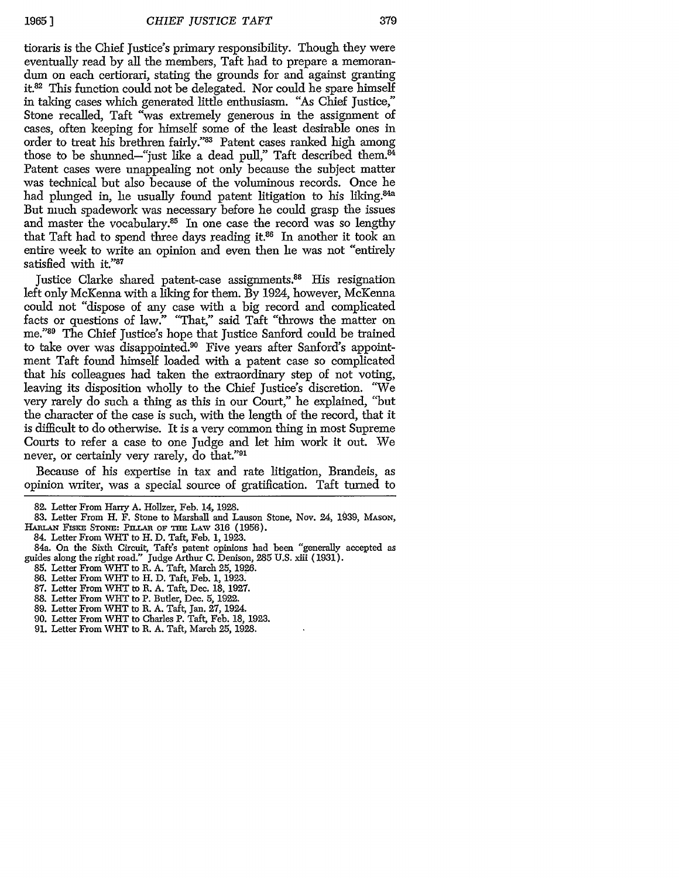379

tioraris is the Chief Justice's primary responsibility. Though they were eventually read by all the members, Taft had to prepare a memoran-<br>dum on each certiorari, stating the grounds for and against granting it.<sup>82</sup> This function could not be delegated. Nor could he spare himself in taking cases which generated little enthusiasm. "As Chief Justice," Stone recalled, Taft "was extremely generous in the assignment of cases, often keeping for himself some of the least desirable ones in order to treat his brethren fairly."83 Patent cases ranked high among those to be shunned-"just like a dead pull," Taft described them. $^{\tilde{84}}$ Patent cases were unappealing not only because the subject matter was technical but also because of the voluminous records. Once he had plunged in, he usually found patent litigation to his liking.<sup>84a</sup> But much spadework was necessary before he could grasp the issues and master the vocabulary.<sup>85</sup> In one case the record was so lengthy that Taft had to spend three days reading it.<sup>86</sup> In another it took an entire week to write an opinion and even then he was not "entirely satisfied with it."87

Justice Clarke shared patent-case assignments.<sup>88</sup> His resignation left only McKenna with a liking for them. By 1924, however, McKenna could not "dispose of any case with a big record and complicated facts or questions of law." "That," said Taft "throws the matter on me."89 The Chief Justice's hope that Justice Sanford could be trained to take over was disappointed.90 Five years after Sanford's appointment Taft found himself loaded with a patent case so complicated that his colleagues had taken the extraordinary step of not voting, leaving its disposition wholly to the Chief Justice's discretion. "We very rarely do such a thing as this in our Court," he explained, "but the character of the case is such, with the length of the record, that it is difficult to do otherwise. It is a very common thing in most Supreme Courts to refer a case to one Judge and let him work it out. We never, or certainly very rarely, do that."91

Because of his expertise in tax and rate litigation, Brandeis, as opinion writer, was a special source of gratification. Taft turned to

84. Letter From WHT to H. D. Taft, Feb. **1,** 1923.

- 84a. On the Sixth Circuit, Taft's patent opinions had been "generally accepted as guides along the right road." Judge Arthur C. Denison, 285 U.S. xiii (1931).
- 85. Letter From WHT to R. A. Taft, March 25, 1926.
- 86. Letter From WHT to H. D. Taft, Feb. **1,** 1923.
- 87. Letter From WHT to R. A. Taft, Dec. 18, 1927.
- 88. Letter From WHT to P. Butler, Dec. 5, 1922.
- 89. Letter From WHT to R. A. Taft, Jan. **27,** 1924.
- 90. Letter From WIT to Charles P. Taft, Feb. 18, 1923.
- **91.** Letter From WHT to R. A. Taft, March 25, 1928.

**<sup>82.</sup>** Letter From Harry **A.** Hollzer, Feb. 14, **1928.**

<sup>83.</sup> Letter From H. F. Stone to Marshall and Lauson Stone, Nov. 24, 1939, MASoN, **HALAN** FxsxE STONE: Pnir.t oF **=iE** LAV 316 (1956).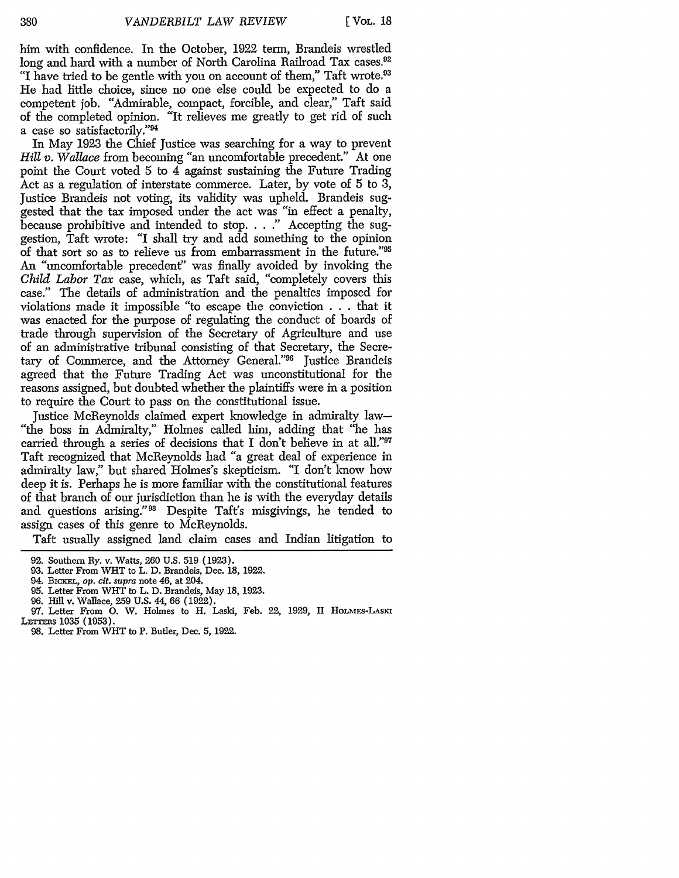him with confidence. In the October, 1922 term, Brandeis wrestled long and hard with a number of North Carolina Railroad Tax cases.<sup>92</sup> "I have tried to be gentle with you on account of them," Taft wrote.<sup>93</sup> He had little choice, since no one else could be expected to do a competent job. "Admirable, compact, forcible, and clear," Taft said of the completed opinion. "It relieves me greatly to get rid of such a case so satisfactorily."<sup>94</sup>

In May 1923 the Chief Justice was searching for a way to prevent *Hill v. Wallace* from becoming "an uncomfortable precedent." At one point the Court voted 5 to 4 against sustaining the Future Trading Act as a regulation of interstate commerce. Later, by vote of 5 to 3, Justice Brandeis not voting, its validity was upheld. Brandeis suggested that the tax imposed under the act was "in effect a penalty, because prohibitive and intended to stop. . . **."** Accepting the suggestion, Taft wrote: "I shall try and add something to the opinion of that sort so as to relieve us from embarrassment in the future."9 An "uncomfortable precedent" was finally avoided by invoking the *Child Labor Tax* case, which, as Taft said, "completely covers this case." The details of administration and the penalties imposed for violations made it impossible "to escape the conviction . ..that it was enacted for the purpose of regulating the conduct of boards of trade through supervision of the Secretary of Agriculture and use of an administrative tribunal consisting of that Secretary, the Secretary of Commerce, and the Attorney General."96 Justice Brandeis agreed that the Future Trading Act was unconstitutional for the reasons assigned, but doubted whether the plaintiffs were in a position to require the Court to pass on the constitutional issue.

Justice McReynolds claimed expert knowledge in admiralty law- "the boss in Admiralty," Holmes called him, adding that "he has carried through a series of decisions that I don't believe in at all."91 Taft recognized that McReynolds had "a great deal of experience in admiralty law," but shared Holmes's skepticism. "I don't know how deep it is. Perhaps he is more familiar with the constitutional features of that branch of our jurisdiction than he is with the everyday details and questions arising." 98 Despite Taft's misgivings, he tended to assign cases of this genre to McReynolds.

Taft usually assigned land claim cases and Indian litigation to

- 96. Hill v. Wallace, **259** U.S. 44, 66 (1922).
- 97. Letter From **0.** W. Holmes to H. Laski, Feb. 22, 1929, II HoLMEs-LASKI LETTERS 1035 (1953).

<sup>92.</sup> Southern Ry. v. Watts, 260 U.S. 519 (1923).

<sup>93.</sup> Letter From WHT to L. D. Brandeis, Dec. 18, 1922.

<sup>94.</sup> BrcrEL, *op. cit. supra* note 46, at 204.

<sup>95.</sup> Letter From WHT to L. D. Brandeis, May 18, 1923.

<sup>98.</sup> Letter From WiT to P. Butler, Dec. 5, 1922.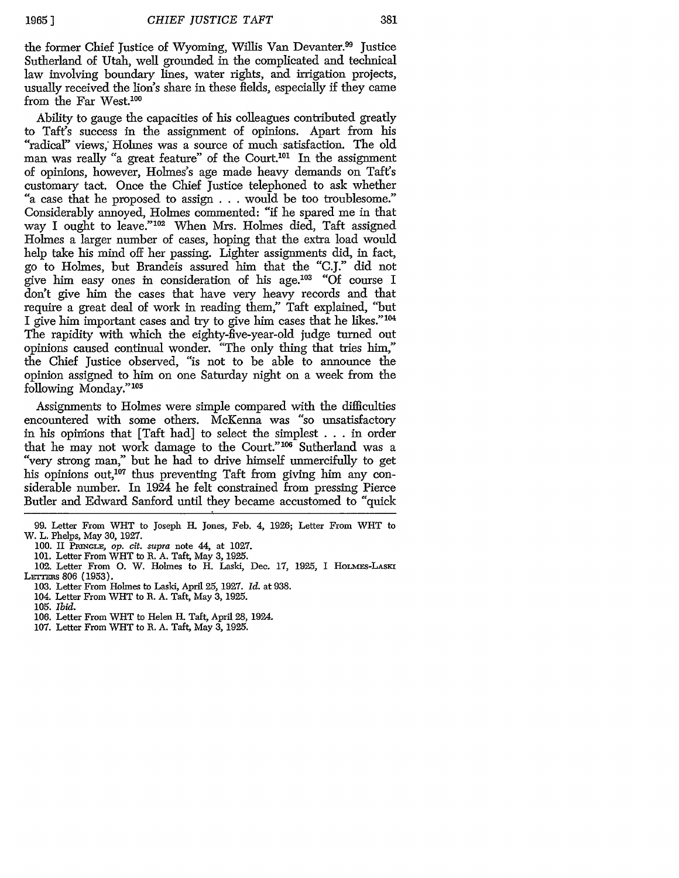the former Chief Justice of Wyoming, Willis Van Devanter.<sup>99</sup> Justice Sutherland of Utah, well grounded in the complicated and technical law involving boundary lines, water rights, and irrigation projects, usually received the lion's share in these fields, especially if they came from the Far West.100

Ability to gauge the capacities of his colleagues contributed greatly to Taft's success in the assignment of opinions. Apart from his "radical" views, Holmes was a source of much satisfaction. The old man was really "a great feature" of the Court.<sup>101</sup> In the assignment of opinions, however, Holmes's age made heavy demands on Taft's customary tact. Once the Chief Justice telephoned to ask whether "a case that he proposed to assign . . . would be too troublesome." Considerably annoyed, Holmes commented: "if he spared me in that way I ought to leave."102 When Mrs. Holmes died, Taft assigned Holmes a larger number of cases, hoping that the extra load would help take his mind off her passing. Lighter assignments did, in fact, go to Holmes, but Brandeis assured him that the "C.J." did not give him easy ones in consideration of his **age.'<sup>03</sup>**"Of course I don't give him the cases that have very heavy records and that require a great deal of work in reading them," Taft explained, "but I give him important cases and try to give him cases that he likes."104 The rapidity with which the eighty-five-year-old judge turned out opinions caused continual wonder. "The only thing that tries him," the Chief Justice observed, "is not to be able to announce the opinion assigned to him on one Saturday night on a week from the following Monday."<sup>105</sup>

Assignments to Holmes were simple compared with the difficulties encountered with some others. McKenna was "so unsatisfactory in his opinions that [Taft had] to select the simplest  $\dots$  in order that he may not work damage to the Court."<sup>106</sup> Sutherland was a "very strong man," but he had to drive himself unmercifully to get his opinions out, $107$  thus preventing Taft from giving him any considerable number. In 1924 he felt constrained from pressing Pierce Butler and Edward Sanford until they became accustomed to "quick

- 103. Letter From Holmes to Laski, April 25, 1927. *Id.* at 938.
- 104. Letter From WHT to R. A. Taft, May 3, 1925.
- 105. *Ibid.*
- 106. Letter From WHT to Helen H. Taft, April **28,** 1924.
- 107. Letter From WHT to R. A. Taft, May 3, **1925.**

<sup>99.</sup> Letter From WHT to Joseph H. Jones, Feb. 4, 1926; Letter From WiT to W. L. Phelps, May 30, 1927.

<sup>100.</sup> II PRINGLE, op. cit. supra note 44, at 1027.

<sup>101.</sup> Letter From WHT to R. A. Taft, May 3, 1925.

<sup>102.</sup> Letter From O. W. Holmes to H. Laski, Dec. 17, 1925, I HOLMES-LASKI LETTERS 806 (1953).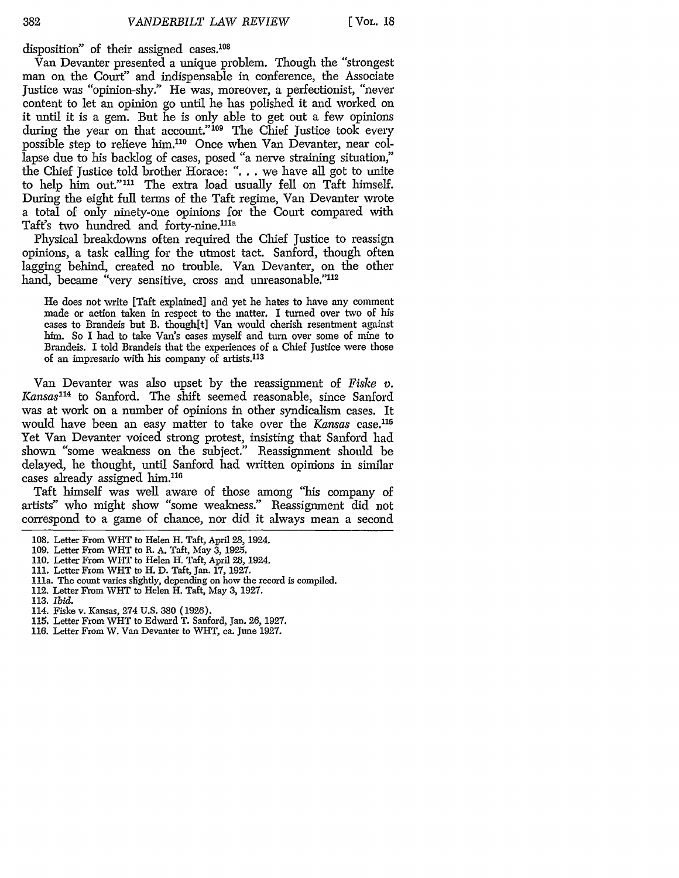disposition" of their assigned cases.<sup>108</sup>

Van Devanter presented a unique problem. Though the "strongest man on the Court" and indispensable in conference, the Associate Justice was "opinion-shy." He was, moreover, a perfectionist, "never content to let an opinion go until he has polished it and worked on it until it is a gem. But he is only able to get out a few opinions during the year on that account."<sup>109</sup> The Chief Justice took every possible step to relieve him.110 Once when Van Devanter, near collapse due to his backlog of cases, posed "a nerve straining situation," the Chief Justice told brother Horace: **"....** we have all got to unite to help him out."<sup>111</sup> The extra load usually fell on Taft himself. During the eight full terms of the Taft regime, Van Devanter wrote a total of only ninety-one opinions for the Court compared with Taft's two hundred and forty-nine.<sup>111a</sup>

Physical breakdowns often required the Chief justice to reassign opinions, a task calling for the utmost tact. Sanford, though often lagging behind, created no trouble. Van Devanter, on the other hand, became "very sensitive, cross and unreasonable."<sup>112</sup>

He does not write [Taft explained] and yet he hates to have any comment made or action taken in respect to the matter. I turned over two of his cases to Brandeis but B. though[t] Van would cherish resentment against him. So I had to take Van's cases myself and turn over some of mine to Brandeis. I told Brandeis that the experiences of a Chief justice were those of an impresario with his company of artists.<sup>113</sup>

Van Devanter was also upset by the reassignment of *Fiske v. Kansas"<sup>4</sup>*to Sanford. The shift seemed reasonable, since Sanford was at work on a number of opinions in other syndicalism cases. It would have been an easy matter to take over the *Kansas* case.<sup>115</sup> Yet Van Devanter voiced strong protest, insisting that Sanford had shown "some weakness on the subject." Reassignment should be delayed, he thought, until Sanford had written opinions in similar cases already assigned him.<sup>116</sup>

Taft himself was well aware of those among "his company of artists" who might show "some weakness." Reassignment did not correspond to a game of chance, nor did it always mean a second

112. Letter From WHT to Helen H. Taft, May 3, 1927.

- 114. Fiske v. Kansas, 274 U.S. 380 (1926).
- **115.** Letter From WHT to Edward T. Sanford, Jan. **26,** 1927.
- 116. Letter From W. Van Devanter to WHT, ca. June 1927.

<sup>108.</sup> Letter From WHT to Helen H. Taft, April 28, 1924.

<sup>109.</sup> Letter From WHT to R. A. Taft, May **3,** 1925.

<sup>110.</sup> Letter From WHT to Helen H. Taft, April **28,** 1924.

<sup>111.</sup> Letter From WIlT to H. D. Taft, Jan. **17,** 1927.

<sup>111</sup>a. The count varies slightly, depending on how the record is compiled.

<sup>113.</sup> *Ibid.*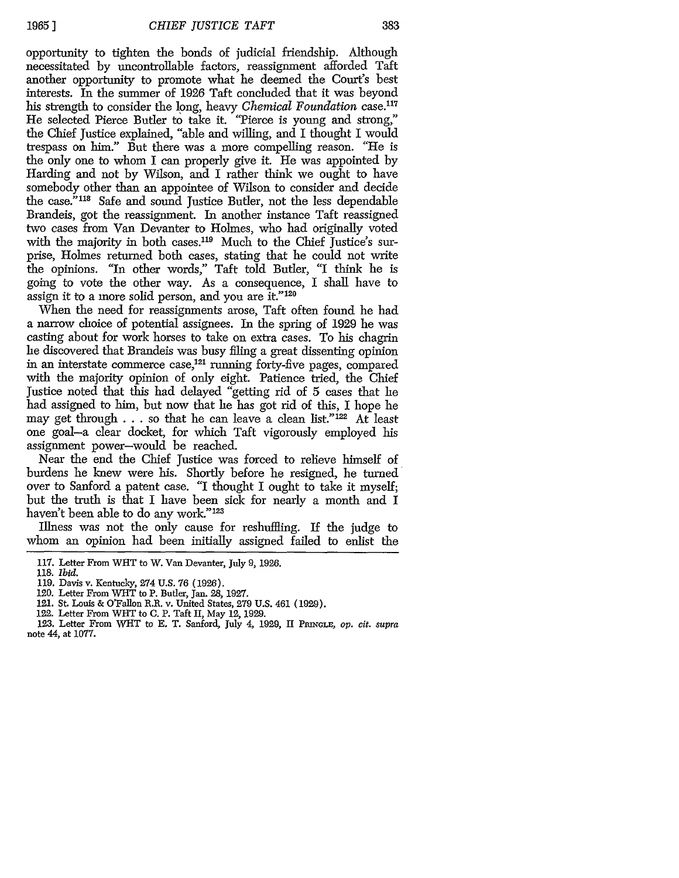opportunity to tighten the bonds of judicial friendship. Although necessitated by uncontrollable factors, reassignment afforded Taft another opportunity to promote what he deemed the Court's best interests. In the summer of 1926 Taft concluded that it was beyond his strength to consider the long, heavy *Chemical Foundation* case.<sup>117</sup> He selected Pierce Butler to take it. "Pierce is young and strong," the Chief Justice explained, "able and willing, and I thought I would trespass on him." But there was a more compelling reason. "He is the only one to whom I can properly give it. He was appointed by Harding and not by Wilson, and I rather think we ought to have somebody other than an appointee of Wilson to consider and decide the case."<sup>118</sup> Safe and sound Justice Butler, not the less dependable Brandeis, got the reassignment. In another instance Taft reassigned two cases from Van Devanter to Holmes, who had originally voted with the majority in both cases.<sup>119</sup> Much to the Chief Justice's surprise, Holmes returned both cases, stating that he could not write the opinions. "In other words," Taft told Butler, "I think he is going to vote the other way. As a consequence, I shall have to assign it to a more solid person, and you are it."<sup>120</sup>

When the need for reassignments arose, Taft often found he had a narrow choice of potential assignees. In the spring of 1929 he was casting about for work horses to take on extra cases. To his chagrin he discovered that Brandeis was busy filing a great dissenting opinion in an interstate commerce case,121 running forty-five pages, compared with the majority opinion of only eight. Patience tried, the Chief Justice noted that this had delayed "getting rid of 5 cases that he had assigned to him, but now that he has got rid of this, I hope he may get through  $\ldots$  so that he can leave a clean list."<sup>122</sup> At least one goal-a clear docket, for which Taft vigorously employed his assignment power-would be reached.

Near the end the Chief Justice was forced to relieve himself of burdens he knew were his. Shortly before he resigned, he turned over to Sanford a patent case. "I thought I ought to take it myself; but the truth is that I have been sick for nearly a month and I haven't been able to do any work."<sup>123</sup>

Illness was not the only cause for reshuffling. If the judge to whom an opinion had been initially assigned failed to enlist the

<sup>117.</sup> Letter From WHT to W. Van Devanter, July 9, 1926.

<sup>118.</sup> *Ibid.*

<sup>119.</sup> Davis v. Kentucky, 274 U.S. 76 (1926).

<sup>120.</sup> Letter From WHT to P. Butler, Jan. 28, 1927.

<sup>121.</sup> St. Louis **&** O'Fallon R.R. v. United States, 279 U.S. 461 (1929).

<sup>122.</sup> Letter From WHT to C. P. Taft II, May 12, 1929.

<sup>123.</sup> Letter From WHT to **E.** T. Sanford, July 4, 1929, **II PRINGLE,** *op. cit. supra* note 44, at 1077.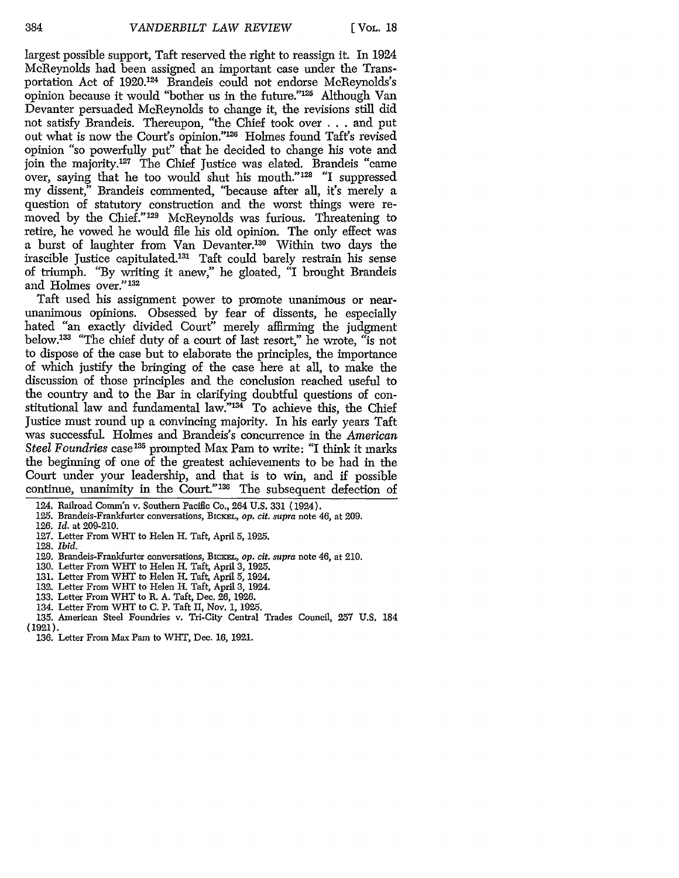largest possible support, Taft reserved the right to reassign it. In 1924 McReynolds had been assigned an important case under the Transportation Act of 1920.124 Brandeis could not endorse McReynolds's opinion because it would "bother us in the future."<sup>125</sup> Although Van Devanter persuaded McReynolds to change it, the revisions still did not satisfy Brandeis. Thereupon, "the Chief took over . . . and put out what is now the Court's opinion."<sup>126</sup> Holmes found Taft's revised opinion "so powerfully put" that he decided to change his vote and join the majority.<sup>127</sup> The Chief Justice was elated. Brandeis "came over, saying that he too would shut his mouth."<sup>128</sup> "I suppressed my dissent," Brandeis commented, "because after all, it's merely a question of statutory construction and the worst things were removed by the Chief."<sup>129</sup> McReynolds was furious. Threatening to retire, he vowed he would file his old opinion. The only effect was a burst of laughter from Van Devanter.130 Within two days the irascible Justice capitulated.<sup>131</sup> Taft could barely restrain his sense of triumph. "By writing it anew," he gloated, *"I* brought Brandeis and Holmes over."<sup>132</sup>

Taft used his assignment power to promote unanimous or nearunanimous opinions. Obsessed by fear of dissents, he especially hated "an exactly divided Court" merely affirming the judgment below 33 "The chief duty of a court of last resort," he wrote, "is not to dispose of the case but to elaborate the principles, the importance of which justify the bringing of the case here at all, to make the discussion of those principles and the conclusion reached useful to the country and to the Bar in clarifying doubtful questions of constitutional law and fundamental law."<sup>134</sup> To achieve this, the Chief Justice must round up a convincing majority. In his early years Taft was successful. Holmes and Brandeis's concurrence in the *American Steel Foundries* case<sup>135</sup> prompted Max Pam to write: "I think it marks the beginning of one of the greatest achievements to be had in the Court under your leadership, and that is to win, and if possible continue, unanimity in the Court."<sup>136</sup> The subsequent defection of

- 125. Brandeis-Frankfurter conversations, BICKEL, op. cit. supra note 46, at 209.
- 126. *Id.* at 209-210.
- 127. Letter From WHT to Helen H. Taft, April 5, 1925.

128. *Ibid.*

- 129. Brandeis-Frankfurter conversations, BIcKEL, *op. cit. supra* note 46, at 210.
- 130. Letter From WHT to Helen H. Taft, April 3, 1925.
- 131. Letter From WHT to Helen H. Taft, April 5, 1924.
- 132. Letter From WHT to Helen H. Taft, April 3, 1924.
- 133. Letter From WHT to R. A. Taft, Dec. 26, 1926.
- 134. Letter From WHT to C. P. Taft II, Nov. 1, 1925.
- 135. American Steel Foundries v. Tri-City Central Trades Council, 257 U.S. 184
- (1921).
	- 136. Letter From Max Pam to WHT, Dec. 16, 1921.

<sup>124.</sup> Railroad Comm'n v. Southern Pacific Co., 264 U.S. 331 (1924).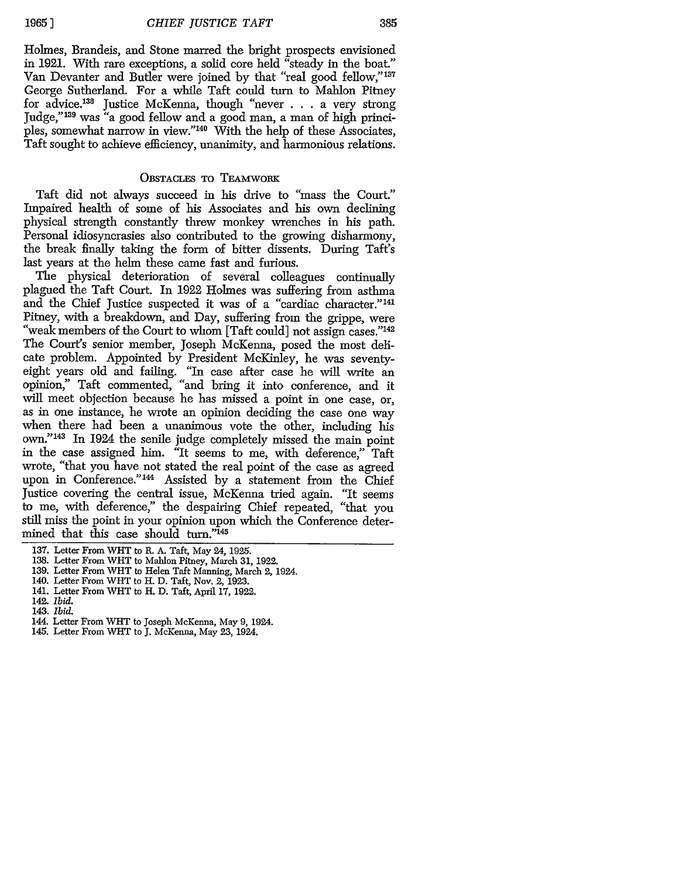**19651**

385

Holmes, Brandeis, and Stone marred the bright prospects envisioned in 1921. With rare exceptions, a solid core held "steady in the boat." Van Devanter and Butler were joined by that "real good fellow,"<sup>137</sup> George Sutherland. For a while Taft could turn to Mahlon Pitney for advice.<sup>138</sup> Justice McKenna, though "never . . . a very strong Judge,"<sup>139</sup> was "a good fellow and a good man, a man of high princi-<br>ples, somewhat narrow in view."<sup>140</sup> With the help of these Associates, Taft sought to achieve efficiency, unanimity, and harmonious relations.

#### OBSTACLES TO TEAMWOBK

Taft did not always succeed in his drive to "mass the Court." Impaired health of some of his Associates and his own declining physical strength constantly threw monkey wrenches in his path. Personal idiosyncrasies also contributed to the growing disharmony, the break finally taking the form of bitter dissents. During Taft's last years at the helm these came fast and furious.

The physical deterioration of several colleagues continually plagued the Taft Court. In 1922 Holmes was suffering from asthma and the Chief Justice suspected it was of a "cardiac character."<sup>141</sup> Pitney, with a breakdown, and Day, suffering from the grippe, were "weak members of the Court to whom [Taft could] not assign cases."<sup>142</sup> The Court's senior member, Joseph McKenna, posed the most delicate problem. Appointed by President McKinley, he was seventycate problem. Appointed by President McKinley, he was seventy- eight years old and failing. "In case after case he will write an opinion," Taft commented, "and bring it into conference, and it will meet objection because he has missed a point in one case, or, as in one instance, he wrote an opinion deciding the case one way when there had been a unanimous vote the other, including his own." 143 In 1924 the senile judge completely missed the main point in the case assigned him. "It seems to me, with deference," Taft wrote, "that you have not stated the real point of the case as agreed upon in Conference."<sup>144</sup> Assisted by a statement from the Chief Justice covering the central issue, McKenna tried again. "It seems to me, with deference," the despairing Chief repeated, "that you still miss the point in your opinion upon which the Conference determined that this case should turn."<sup>145</sup>

138. Letter From WHT to Mahlon Pitney, March 31, 1922.

- 141. Letter From WHT to H. D. Taft, April 17, 1922.
- 142. *Ibid.*
- 143. *Ibid.*
- 144. Letter From WHT to Joseph McKenna, May 9, 1924.
- 145. Letter From WiT to **J.** McKenna, May **23,** 1924.

<sup>137.</sup> Letter From WHT to R. A. Taft, May 24, 1925.

<sup>139.</sup> Letter From WiT to Helen Taft Manning, March *2,* 1924.

<sup>140.</sup> Letter From WiT to H. D. Taft, Nov. **%** 1923.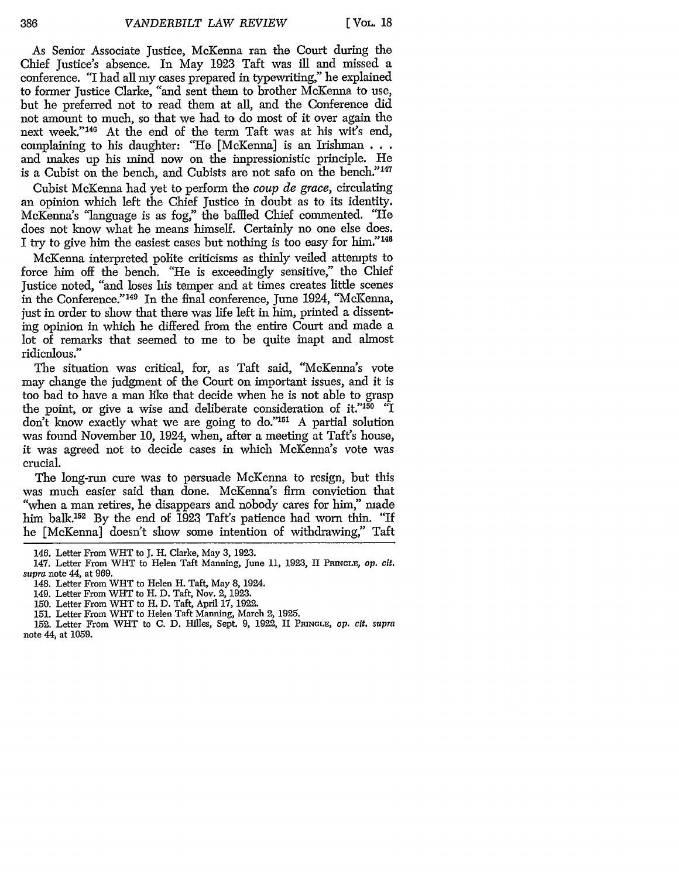As Senior Associate Justice, McKenna ran the Court during the Chief Justice's absence. In May 1923 Taft was ill and missed a conference. "I had all my cases prepared in typewriting," he explained to former Justice Clarke, "and sent them to brother McKenna to use, but he preferred not to read them at all, and the Conference did not amount to much, so that we had to do most of it over again the next week."<sup>146</sup> At the end of the term Taft was at his wit's end, complaining to his daughter: "He [McKenna] is an Irishman **...** and makes up his mind now on the impressionistic principle. He is a Cubist on the bench, and Cubists are not safe on the bench."<sup>147</sup>

Cubist McKenna had yet to perform the *coup de grace,* circulating an opinion which left the Chief justice in doubt as to its identity. McKenna's 'language is as fog," the baffled Chief commented. "He does not know what he means himself. Certainly no one else does. I try to give him the easiest cases but nothing is too easy for him."<sup>148</sup>

McKenna interpreted polite criticisms as thinly veiled attempts to force him off the bench. "He is exceedingly sensitive," the Chief Justice noted, "and loses his temper and at times creates little scenes in the Conference." 149 In the final conference, June 1924, "McKenna, just in order to show that there was life left in him, printed a dissenting opinion in which he differed from the entire Court and made a lot of remarks that seemed to me to be quite inapt and almost ridiculous."

The situation was critical, for, as Taft said, "McKenna's vote may change the judgment of the Court on important issues, and it is too bad to have a man like that decide when he is not able to grasp the point, or give a wise and deliberate consideration of it." $150$  "I don't know exactly what we are going to do."151 A partial solution was found November 10, 1924, when, after a meeting at Taft's house, it was agreed not to decide cases in which McKenna's vote was crucial.

The long-run cure was to persuade McKenna to resign, but this was much easier said than done. McKenna's firm conviction that "when a man retires, he disappears and nobody cares for him," made him balk.<sup>152</sup> By the end of 1923 Taft's patience had worn thin. "If he [McKenna] doesn't show some intention of withdrawing," Taft

<sup>146.</sup> Letter From WHT to J. H. Clarke, May 3, 1923.

<sup>147.</sup> Letter From WHT to Helen Taft Manning, June 11, 1923, II PRINGLE, op. cit. *supra* note 44, at 969.

<sup>148.</sup> Letter From WHT to Helen H. Taft, May 8, 1924.

<sup>149.</sup> Letter From WHT to H. D. Taft, Nov. 2, 1923.

<sup>150.</sup> Letter From WHT to H. D. Taft, April 17, 1922.

<sup>151.</sup> Letter From WHT to Helen Taft Manning, March 2, 1925.

<sup>152.</sup> Letter From WHT to **C.** D. Hilles, Sept. 9, 1922, II **PRINGLE,** *op. cit. supra* note 44, at 1059.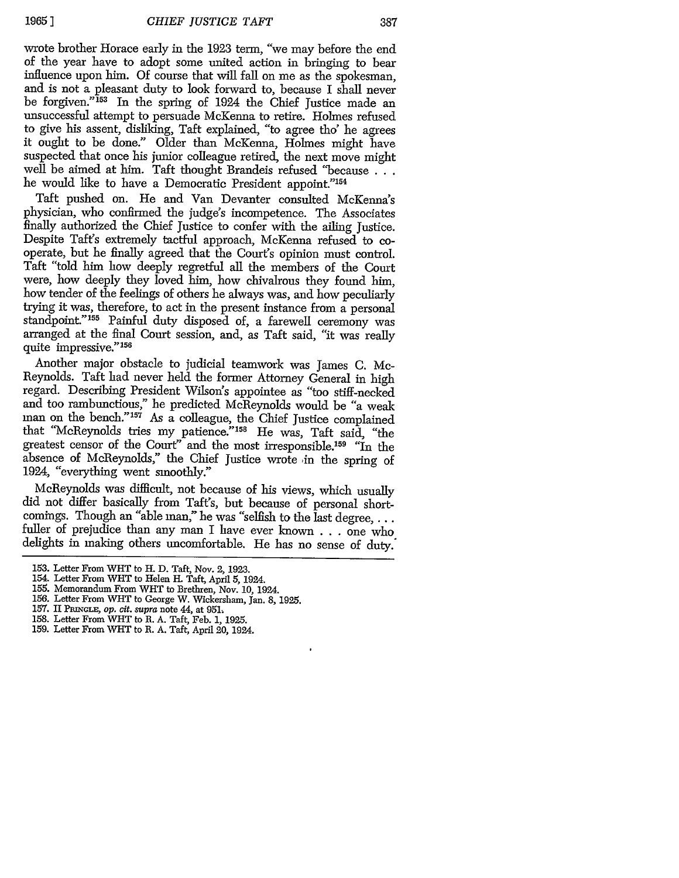wrote brother Horace early in the 1923 term, "we may before the end of the year have to adopt some united action in bringing to bear influence upon him. Of course that will fall on me as the spokesman. and is not a pleasant duty to look forward to, because I shall never be forgiven."<sup>153</sup> In the spring of 1924 the Chief Justice made an unsuccessful attempt to persuade McKenna to retire. Holmes refused to give his assent, disliking, Taft explained, "to agree tho' he agrees it ought to be done." Older than McKenna, Holmes might have suspected that once his junior colleague retired, the next move might well be aimed at him. Taft thought Brandeis refused "because **...** he would like to have a Democratic President appoint."<sup>154</sup>

Taft pushed on. He and Van Devanter consulted McKenna's physician, who confirmed the judge's incompetence. The Associates finally authorized the Chief Justice to confer with the ailing Justice. Despite Taft's extremely tactful approach, McKenna refused to cooperate, but he finally agreed that the Court's opinion must control. Taft "told him how deeply regretful all the members of the Court were, how deeply they loved him, how chivalrous they found him, how tender of the feelings of others he always was, and how peculiarly trying it was, therefore, to act in the present instance from a personal standpoint."<sup>155</sup> Painful duty disposed of, a farewell ceremony was arranged at the final Court session, and, as Taft said, "it was really quite impressive." 156

Another major obstacle to judicial teamwork was James C. Mc-Reynolds. Taft had never held the former Attorney General in high regard. Describing President Wilson's appointee as "too stiff-necked and too rambunctious," he predicted McReynolds would be "a weak man on the bench."157 As a colleague, the Chief Justice complained that "McReynolds tries my patience." 58 He was, Taft said, "the greatest censor of the Court" and the most irresponsible.<sup>159</sup> "In the absence of McReynolds," the Chief Justice wrote in the spring of 1924, "everything went smoothly."

McReynolds was difficult, not because of his views, which usually did not differ basically from Taft's, but because of personal shortcomings. Though an "able man," he was "selfish to the last degree,  $\dots$ fuller of prejudice than any man I have ever known . . . one who delights in making others uncomfortable. He has no sense of duty.'

- 155. Memorandum From WHT to Brethren, Nov. **10,** 1924.
- *156.* Letter From WHT to George W. Wickersham, Jan. 8, 1925.
- **157.** II **PRiNGLE,** op. cit. supra note 44, at 951.
- 158. Letter From WHT to R. A. Taft, Feb. **1,** 1925.
- 159. Letter From WHT to R. A. Taft, April 20, 1924.

<sup>153.</sup> Letter From WHT to H. D. Taft, Nov. 2, 1923.

<sup>154.</sup> Letter From **WHT** to Helen H. Taft, April **5,** 1924.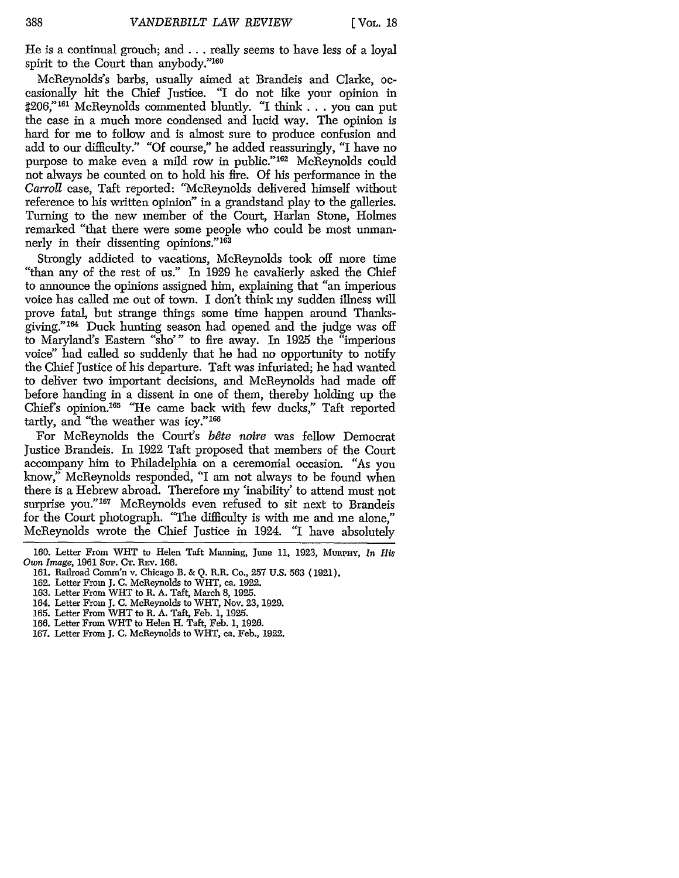He is a continual grouch; and... really seems to have less of a loyal spirit to the Court than anybody."<sup>160</sup>

McReynolds's barbs, usually aimed at Brandeis and Clarke, occasionally hit the Chief Justice. "I do not like your opinion in **#206,"161** McReynolds commented bluntly. "I *think ...* you can put the case in a much more condensed and lucid way. The opinion is hard for me to follow and is almost sure to produce confusion and add to our difficulty." **"Of** course," he added reassuringly, "I have no purpose to make even a mild row in public."162 McReynolds could not always be counted on to hold his fire. Of his performance in the *Carroll* case, Taft reported: "McReynolds delivered himself without reference to his written opinion" in a grandstand play to the galleries. Turning to the new member of the Court, Harlan Stone, Holmes remarked "that there were some people who could be most unmannerly in their dissenting opinions."<sup>163</sup>

Strongly addicted to vacations, McReynolds took off more time "than any of the rest of us." In 1929 he cavalierly asked the Chief to announce the opinions assigned him, explaining that "an imperious voice has called me out of town. I don't think my sudden illness will prove fatal, but strange things some time happen around Thanksgiving."<sup>164</sup> Duck hunting season had opened and the judge was off to Maryland's Eastern "sho"' to fire away. In 1925 the "imperious voice" had called so suddenly that he had no opportunity to notify the Chief Justice of his departure. Taft was infuriated; he had wanted to deliver two important decisions, and McReynolds had made off before handing in a dissent in one of them, thereby holding up the Chief's opinion.<sup>165</sup> "He came back with few ducks," Taft reported tartly, and "the weather was icy."<sup>166</sup>

For McReynolds the Court's *bete noire* was fellow Democrat Justice Brandeis. In 1922 Taft proposed that members of the Court accompany him to Philadelphia on a ceremonial occasion. "As you know," McReynolds responded, "I am not always to be found when there is a Hebrew abroad. Therefore my 'inability' to attend must not surprise you."<sup>167</sup> McReynolds even refused to sit next to Brandeis for the Court photograph. "The difficulty is with me and me alone," McReynolds wrote the Chief Justice in 1924. *"I* have absolutely

- 163. Letter From WHT to R. A. Taft, March 8, 1925.
- 164. Letter From **J.** C. McReynolds to WHT, Nov. 23, 1929.
- 165. Letter From WHT to R. A. Taft, Feb. 1, 1925.
- 166. Letter From WHT to Helen H. Taft, Feb. 1, 1926.
- 167. Letter From **J.** C. McReynolds to WHT, ca. Feb., 1922.

<sup>160.</sup> Letter From WHT to Helen Taft Manning, June 11, 1923, MunpHy, *In His Own Image,* 1961 Sup. **CT.** REv. 166.

<sup>161.</sup> Railroad Comm'n v. Chicago B. & *Q.* R.R. Co., 257 U.S. 563 (1921).

<sup>162.</sup> Letter From J. C. McReynolds to WHT, ca. 1922.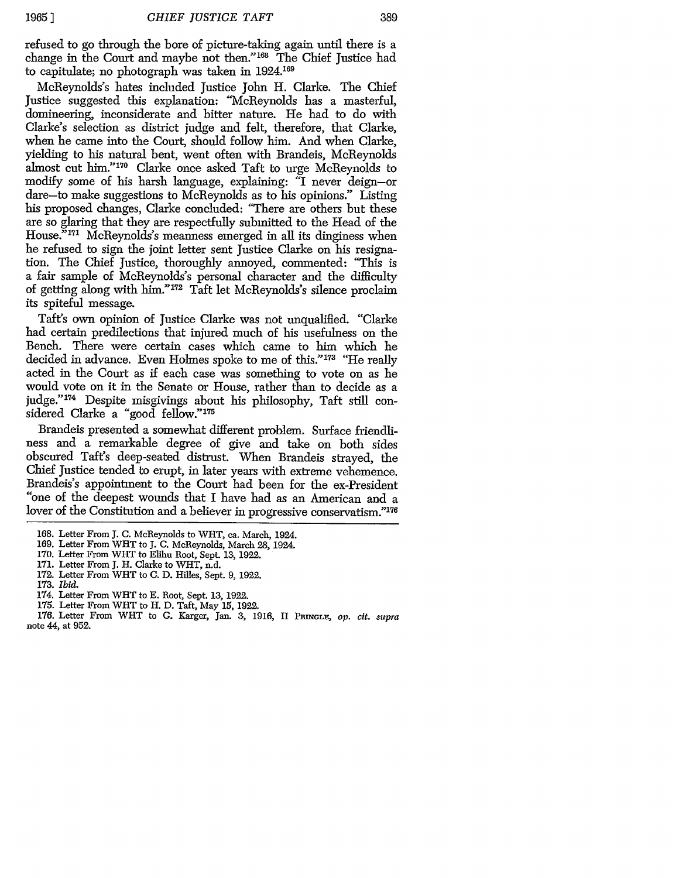refused to go through the bore of picture-taking again until there is a change in the Court and maybe not then." 168 The Chief Justice had to capitulate; no photograph was taken in 1924.169

McReynolds's hates included Justice John H. Clarke. The Chief Justice suggested this explanation: "McReynolds has a masterful, domineering, inconsiderate and bitter nature. He had to do with Clarke's selection as district judge and felt, therefore, that Clarke, when he came into the Court, should follow him. And when Clarke, yielding to his natural bent, went often with Brandeis, McReynolds almost cut him."<sup>170</sup> Clarke once asked Taft to urge McReynolds to modify some of his harsh language, explaining: "I never deign-or dare-to make suggestions to McReynolds as to his opinions." Listing his proposed changes, Clarke concluded: "There are others but these are so glaring that they are respectfully submitted to the Head of the House.<sup>"171</sup> McReynolds's meanness emerged in all its dinginess when he refused to sign the joint letter sent Justice Clarke on his resignation. The Chief Justice, thoroughly annoyed, commented: "This is a fair sample of McReynolds's personal character and the difficulty of getting along with him." 172 Taft let McReynolds's silence proclaim its spiteful message.

Taft's own opinion of Justice Clarke was not unqualified. "Clarke had certain predilections that injured much of his usefulness on the Bench. There were certain cases which came to him which he decided in advance. Even Holmes spoke to me of this."173 "He really acted in the Court as if each case was something to vote on as he would vote on it in the Senate or House, rather than to decide as a judge." 174 Despite misgivings about his philosophy, Taft still considered Clarke a "good fellow."175

Brandeis presented a somewhat different problem. Surface friendliness and a remarkable degree of give and take on both sides obscured Taft's deep-seated distrust. When Brandeis strayed, the Chief Justice tended to erupt, in later years with extreme vehemence. Brandeis's appointment to the Court had been for the ex-President "one of the deepest wounds that I have had as an American and a lover of the Constitution and a believer in progressive conservatism."<sup>176</sup>

- 171. Letter From J. H. Clarke to WHT, n.d.
- 172. Letter From WiT to C. D. Hilles, Sept. 9, 1922.
- 173. *Ibid.*
- 174. Letter From WHT to E. Root, Sept. 13, 1922.
- 175. Letter From WHT to H. D. Taft, May 15, 1922.

<sup>168.</sup> Letter From J. C. McReynolds to WHT, ca. March, 1924.

<sup>169.</sup> Letter From WHT to J. C. McReynolds, March 28, 1924.

<sup>170.</sup> Letter From WHT to Elihu Root, Sept. 13, 1922.

<sup>176.</sup> Letter From WHT to G. Karger, Jan. 3, 1916, II PRINGLE, op. cit. supra note 44, at 952.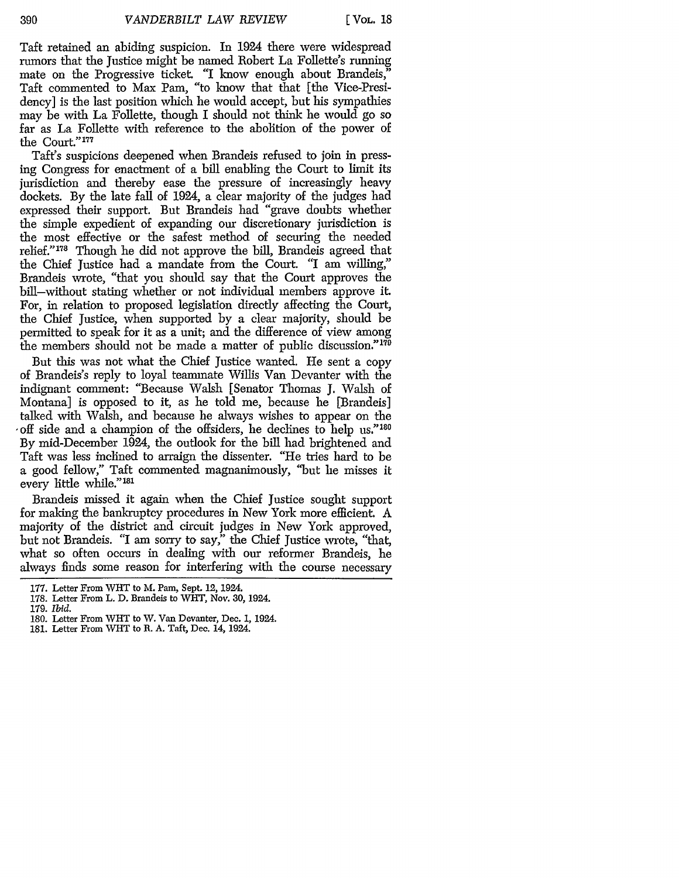Taft retained an abiding suspicion. In 1924 there were widespread rumors that the Justice might be named Robert La Follette's running mate on the Progressive ticket. "I know enough about Brandeis," Taft commented to Max Pam, "to know that that [the Vice-Presidency] is the last position which he would accept, but his sympathies may be with La Follette, though I should not think he would go so far as La Follette with reference to the abolition of the power of the Court."<br/>  $\hspace{0.01em}$   $\hspace{0.01em}$   $\hspace{0.01em}$ 

Taft's suspicions deepened when Brandeis refused to join in pressing Congress for enactment of a bill enabling the Court to limit its jurisdiction and thereby ease the pressure of increasingly heavy dockets. By the late fall of 1924, a clear majority of the judges had expressed their support. But Brandeis had "grave doubts whether the simple expedient of expanding our discretionary jurisdiction is the most effective or the safest method of securing the needed relief."178 Though he did not approve the bill, Brandeis agreed that the Chief Justice had a mandate from the Court. *"I* am willing," Brandeis wrote, "that you should say that the Court approves the bill-without stating whether or not individual members approve it. For, in relation to proposed legislation directly affecting the Court, the Chief Justice, when supported by a clear majority, should be permitted to speak for it as a unit; and the difference of view among the members should not be made a matter of public discussion."179

But this was not what the Chief Justice wanted. He sent a copy of Brandeis's reply to loyal teammate Willis Van Devanter with the indignant comment: "Because Walsh [Senator Thomas J. Walsh of Montana] is opposed to it, as he told me, because he [Brandeis] talked with Walsh, and because he always wishes to appear on the ,off side and a champion of the offsiders, he declines to help **us."<sup>180</sup>** By mid-December 1924, the outlook for the bill had brightened and Taft was less inclined to arraign the dissenter. "He tries hard to be a good fellow," Taft commented magnanimously, "but he misses it every little while."<sup>181</sup>

Brandeis missed it again when the Chief Justice sought support for making the bankruptcy procedures in New York more efficient. A majority of the district and circuit judges in New York approved, but not Brandeis. "I am sorry to say," the Chief Justice wrote, "that, what so often occurs in dealing with our reformer Brandeis, he always finds some reason for interfering with the course necessary

- 178. Letter From L. D. Brandeis to WHT, Nov. **30,** 1924.
- 179. *Ibid.*
- 180. Letter From WHT to W. Van Devanter, Dec. 1, 1924.
- 181. Letter From WHT to R. A. Taft, Dec. 14, 1924.

<sup>177.</sup> Letter From WHT to M. Pam, Sept. 12, 1924.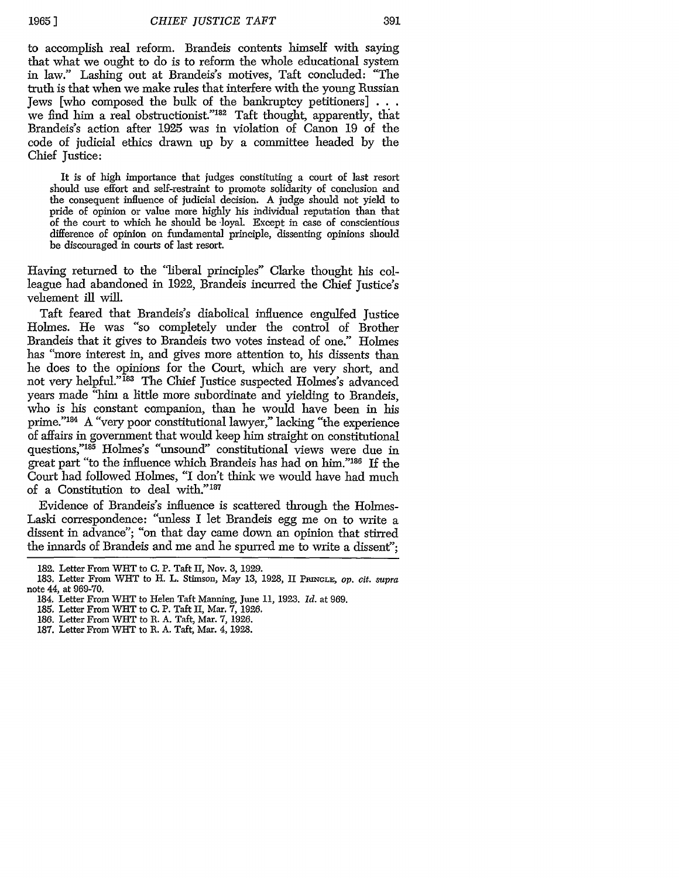**1965** ]

to accomplish real reform. Brandeis contents himself with saying that what we ought to do is to reform the whole educational system in law." Lashing out at Brandeis's motives, Taft concluded: "The truth is that when we make rules that interfere with the young Russian Jews [who composed the bulk of the bankruptcy petitioners] **. . .** we find him a real obstructionist."<sup>182</sup> Taft thought, apparently, that Brandeis's action after 1925 was in violation of Canon 19 of the code of judicial ethics drawn up by a committee headed by the Chief Justice:

It is of high importance that judges constituting a court of last resort should use effort and self-restraint to promote solidarity of conclusion and the consequent influence of judicial decision. A judge should not yield to pride of opinion or value more highly his individual reputation than that of the court to which he should be loyal. Except in case of conscientious difference of opinion on fundamental principle, dissenting opinions should be discouraged in courts of last resort.

Having returned to the "liberal principles" Clarke thought his colleague had abandoned in 1922, Brandeis incurred the Chief Justice's vehement ill will.

Taft feared that Brandeis's diabolical influence engulfed Justice Holmes. He was "so completely under the control of Brother Brandeis that it gives to Brandeis two votes instead of one." Holmes has "more interest in, and gives more attention to, his dissents than he does to the opinions for the Court, which are very short, and not very helpful."<sup>183</sup> The Chief Justice suspected Holmes's advanced years made "him a little more subordinate and yielding to Brandeis, who is his constant companion, than he would have been in his prime."184 A "very poor constitutional lawyer," lacking "the experience of affairs in government that would keep him straight on constitutional questions,"<sup>185</sup> Holmes's "unsound" constitutional views were due in great part "to the influence which Brandeis has had on him."<sup>186</sup> If the Court had followed Holmes, *"I* don't think we would have had much of a Constitution to deal with."<sup>187</sup>

Evidence of Brandeis's influence is scattered through the Holmes-Laski correspondence: "unless I let Brandeis egg me on to write a dissent in advance"; "on that day came down an opinion that stirred the innards of Brandeis and me and he spurred me to write a dissent";

<sup>182.</sup> Letter From WHT to C. P. Taft II, Nov. 3, 1929.

<sup>183.</sup> Letter From WHT to H. L. Stimson, May 13, 1928, II **PRINGLE,** op. *cit. supra* note 44, at 969-70.

<sup>184.</sup> Letter From WHT to Helen Taft Manning, June 11, 1923. *Id.* at 969.

<sup>185.</sup> Letter From WHT to C. P. Taft II, Mar. 7, 1926.

<sup>186.</sup> Letter From WHT to R. A. Taft, Mar. 7, 1926.

<sup>187.</sup> Letter From WHT to R. A. Taft, Mar. 4, 1928.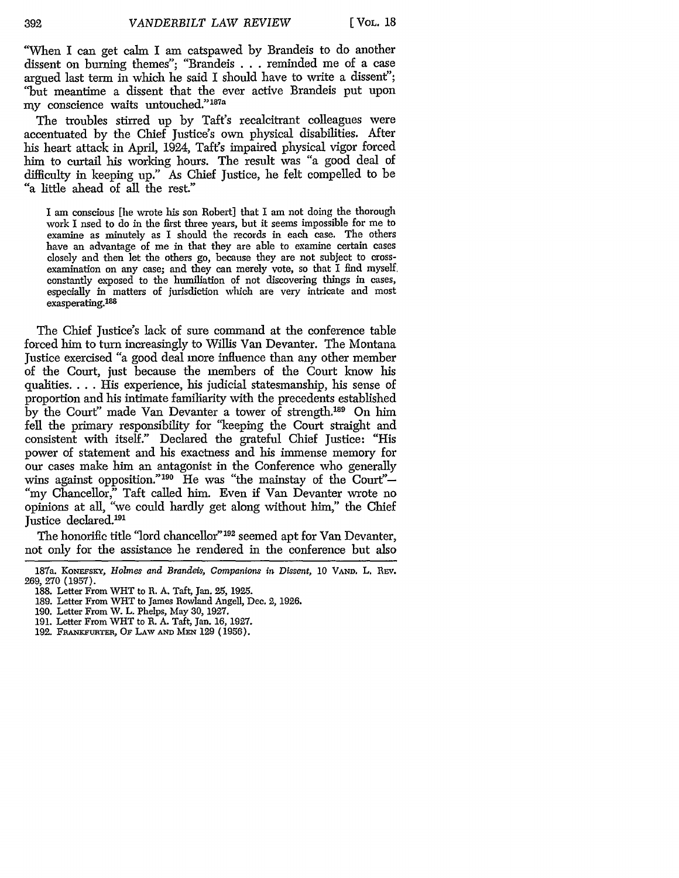**[** VOL. **18**

"When I can get calm I am catspawed by Brandeis to do another dissent on burning themes"; "Brandeis . . . reminded me of a case argued last term in which he said I should have to write a dissent"; "but meantime a dissent that the ever active Brandeis put upon my conscience waits untouched."187a

The troubles stirred up by Taft's recalcitrant colleagues were accentuated by the Chief Justice's own physical disabilities. After his heart attack in April, 1924, Taft's impaired physical vigor forced him to curtail his working hours. The result was "a good deal of difficulty in keeping up." As Chief Justice, he felt compelled to be "a little ahead of all the rest."

I am conscious [he wrote his son Robert] that I am not doing the thorough work I nsed to do in the first three years, but it seems impossible for me to examine as minutely as I should the records in each case. The others have an advantage of me in that they are able to examine certain cases closely and then let the others go, because they are not subject to crossexamination on any case; and they can merely vote, so that I find myself, constantly exposed to the humiliation of not discovering things in cases, especially in matters of jurisdiction wbich are very intricate and most exasperating.<sup>188</sup>

The Chief Justice's lack of sure command at the conference table forced him to turn increasingly to Willis Van Devanter. The Montana Justice exercised "a good deal more influence than any other member of the Court, just because the members of the Court know his qualities .... His experience, his judicial statesmanship, his sense of proportion and his intimate familiarity with the precedents established by the Court" made Van Devanter a tower of strength.<sup>189</sup> On him fell the primary responsibility for "keeping the Court straight and consistent with itself." Declared the grateful Chief Justice: "His power of statement and his exactness and his immense memory for our cases make him an antagonist in the Conference who generally wins against opposition."<sup>190</sup> He was "the mainstay of the Court"-"my Chancellor," Taft called him. Even if Van Devanter wrote no opinions at all, "we could hardly get along without him," the Chief Justice declared.<sup>191</sup>

The honorific title "lord chancellor" 192 seemed apt for Van Devanter, not only for the assistance he rendered in the conference but also

<sup>187</sup>a. KONEFSKY, *Holmes and Brandeis*, Companions in Dissent, 10 VAND. L. REV. 269, **270** (1957).

<sup>188.</sup> Letter From WHT to R. A. Taft, Jan. 25, 1925.

<sup>189.</sup> Letter From WHT to James Rowland Angell, Dec. 2, 1926.

**<sup>190.</sup>** Letter From W. L. Phelps, May 30, 1927.

<sup>191.</sup> Letter From WHT to R. A. Taft, Jan. 16, 1927.

<sup>192.</sup> FRANKFURTER, OF LAW AND MEN 129 (1956).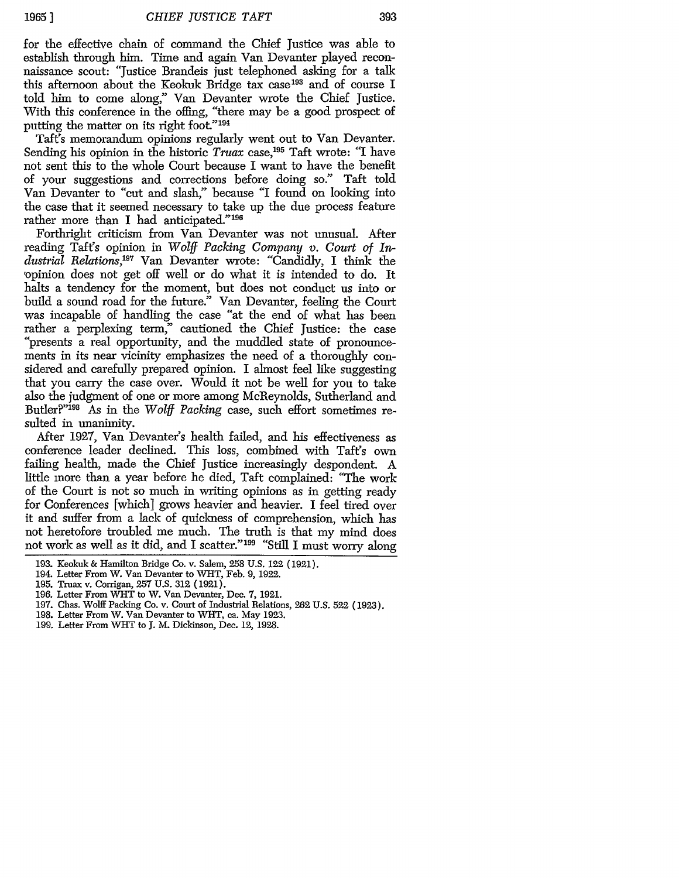for the effective chain of command the Chief Justice was able to establish through him. Time and again Van Devanter played reconnaissance scout: "Justice Brandeis just telephoned asking for a talk this afternoon about the Keokuk Bridge tax case<sup>193</sup> and of course I told him to come along," Van Devanter wrote the Chief Justice. With this conference in the offing, "there may be a good prospect of putting the matter on its right foot."<sup>194</sup>

Taft's memorandum opinions regularly went out to Van Devanter. Sending his opinion in the historic *Truax* case,<sup>195</sup> Taft wrote: "I have not sent this to the whole Court because I want to have the benefit of your suggestions and corrections before doing so." Taft told Van Devanter to "cut and slash," because "I found on looking into the case that it seemed necessary to take up the due process feature rather more than I had anticipated."<sup>196</sup>

Forthright criticism from Van Devanter was not unusual. After reading Taft's opinion in *Wolff Packing Company v. Court of In*dustrial Relations,<sup>197</sup> Van Devanter wrote: "Candidly, I think the opinion does not get off well or do what it is intended to do. It halts a tendency for the moment, but does not conduct us into or build a sound road for the future." Van Devanter, feeling the Court was incapable of handling the case "at the end of what has been rather a perplexing term," cautioned the Chief Justice: the case presents a real opportunity, and the muddled state of pronouncements in its near vicinity emphasizes the need of a thoroughly considered and carefully prepared opinion. I almost feel like suggesting that you carry the case over. Would it not be well for you to take also the judgment of one or more among McReynolds, Sutherland and Butler?"198 As in the *Wolff Packing* case, such effort sometimes resulted in unanimity.

After 1927, Van Devanter's health failed, and his effectiveness as conference leader declined. This loss, combined with Taft's own failing health, made the Chief Justice increasingly despondent. A little more than a year before he died, Taft complained: "The work of the Court is not so much in writing opinions as in getting ready for Conferences [which] grows heavier and heavier. I feel tired over it and suffer from a lack of quickness of comprehension, which has not heretofore troubled me much. The truth is that my mind does not work as well as it did, and I scatter."<sup>199</sup> "Still I must worry along

197. Chas. Wolff Packing Co. v. Court of Industrial Relations, 262 U.S. 522 (1923).

199. Letter From WHT to **J.** M. Dickinson, Dec. 12, 1928.

<sup>193.</sup> Keokuk & Hamilton Bridge Co. v. Salem, 258 U.S. 122 (1921).

<sup>194.</sup> Letter From W. Van Devanter to WiT, Feb. *9,* 1922.

<sup>195.</sup> Truax v. Corrigan, 257 U.S. 312 (1921).

<sup>196.</sup> Letter From WiT to W. Van Devanter, Dec. 7, 1921.

<sup>198.</sup> Letter From W. Van Devanter to WHT, ca. May 1923.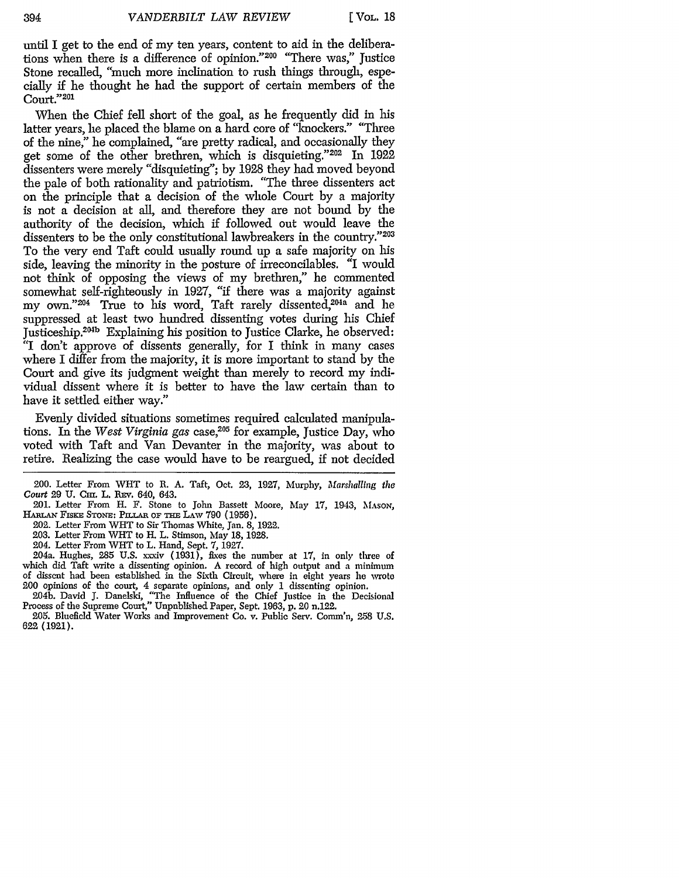until I get to the end of my ten years, content to aid in the deliberations when there is a difference of opinion."<sup>200</sup> "There was," Justice Stone recalled, "much more inclination to rush things through, especially if he thought he had the support of certain members of the Court."201

When the Chief fell short of the goal, as he frequently did in his latter years, he placed the blame on a hard core of "knockers." "Three of the nine," he complained, "are pretty radical, and occasionally they get some of the other brethren, which is disquieting."202 In 1922 dissenters were merely "disquieting"; by 1928 they had moved beyond the pale of both rationality and patriotism. "The three dissenters act on the principle that a decision of the whole Court by a majority is not a decision at all, and therefore they are not bound by the authority of the decision, which if followed out would leave the dissenters to be the only constitutional lawbreakers in the country."203 To the very end Taft could usually round up a safe majority on his side, leaving the minority in the posture of irreconcilables. "I would not think of opposing the views of my brethren," he commented somewhat self-righteously in 1927, "if there was a majority against my own."<sup>204</sup> True to his word, Taft rarely dissented,<sup>204a</sup> and he suppressed at least two hundred dissenting votes during his Chief Justiceship.<sup>204b</sup> Explaining his position to Justice Clarke, he observed: "I don't approve of dissents generally, for I think in many cases where I differ from the majority, it is more important to stand by the Court and give its judgment weight than merely to record my individual dissent where it is better to have the law certain than to have it settled either way."

Evenly divided situations sometimes required calculated manipulations. In the *West Virginia gas* case,<sup>205</sup> for example, Justice Day, who voted with Taft and Van Devanter in the majority, was about to retire. Realizing the case would have to be reargued, if not decided

201. Letter From H. F. Stone to John Bassett Moore, May 17, 1943, **MASON,** HARLAN FISKE STONE: PILLAR OF THE LAW 790 (1956).

202. Letter From WHT to Sir Thomas White, Jan. 8, 1922.

203. Letter From WiT to H. L. Stimson, May 18, 1928.

204. Letter From WHT to L. Hand, Sept. 7, 1927.

204a. Hughes, 285 **U.S.** xxdv (1931), fixes the number at **17,** in only three of which did Taft write a dissenting opinion. A record of high output and a minimum of dissent had been established in the Sixth Circuit, where in eight years he wrote 200 opinions of the court, 4 separate opinions, and only 1 dissenting opinion.

204b. David J. Danelski, "The Influence of the Chief Justice in the Decisional Process of the Supreme Court," Unpublished Paper, Sept. 1963, p. 20 n.122.

**205.** Bluefield Water Works and Improvement Co. v. Public Serv. Comm'n, 2-58 U.S. **622** (1921).

<sup>200.</sup> Letter From WHT to R. A. Taft, Oct. 23, 1927, Murphy, *Marshalling the Court 29 U. Cm. L. REv. 640, 643.*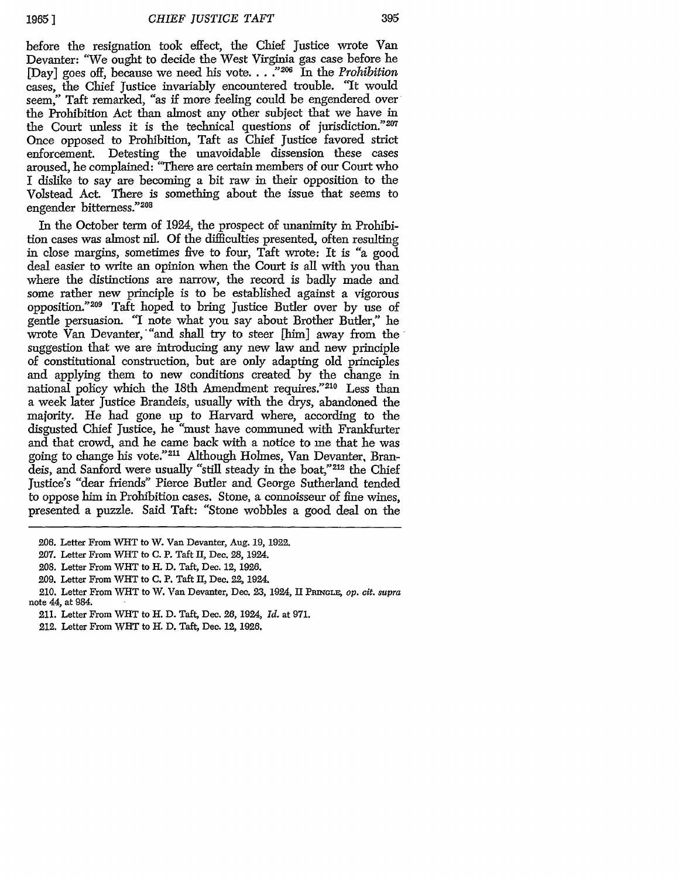395

before the resignation took effect, the Chief Justice wrote Van Devanter: *"We* ought to decide the West Virginia gas case before he Ebyanter. We ought to decide the *N* cover Taglian gas case serve he IDay] goes off, because we need his vote...<sup>2206</sup> In the *Prohibition* cases, the Chief Justice invariably encountered trouble. "It would seem," Taft remarked, "as if more feeling could be engendered over the Prohibition Act than almost any other subject that we have in the Court unless it is the technical questions of jurisdiction."207 Once opposed to Prohibition, Taft as Chief Justice favored strict enforcement. Detesting the unavoidable dissension these cases aroused, he complained: "There are certain members of our Court who I dislike to say are becoming a bit raw in their opposition to the Volstead Act. There is something about the issue that seems to engender bitterness."208

In the October term of 1924, the prospect of unanimity in Prohibition cases was almost nil. Of the difficulties presented, often resulting in close margins, sometimes five to four, Taft wrote: It is "a good deal easier to write an opinion when the Court is all with you than where the distinctions are narrow, the record is badly made and some rather new principle is to be established against a vigorous opposition."<sup>209</sup> Taft hoped to bring Justice Butler over by use of gentle persuasion. "I note what you say about Brother Butler," he wrote Van Devanter, "and shall try to steer [him] away from the suggestion that we are introducing any new law and new principle of constitutional construction, but are only adapting old principles and applying them to new conditions created by the change in national policy which the 18th Amendment requires."210 Less than a week later Justice Brandeis, usually with the drys, abandoned the majority. He had gone up to Harvard where, according to the disgusted Chief Justice, he "must have communed with Frankfurter and that crowd, and he came back with a notice to me that he was going to change his vote."<sup>211</sup> Although Holmes, Van Devanter, Brandeis, and Sanford were usually "still steady in the boat,"<sup>212</sup> the Chief Justice's "dear friends" Pierce Butler and George Sutherland tended to oppose him in Prohibition cases. Stone, a connoisseur of fine wines, presented a puzzle. Said Taft: "Stone wobbles a good deal on the

**<sup>206.</sup>** Letter From WHT to W. Van Devanter, Aug. 19, **1922.**

<sup>207.</sup> Letter From WHT to C. P. Taft II, Dec. **28,** 1924.

<sup>208.</sup> Letter From WHT to H. D. Taft, Dec. **12, 1926.**

<sup>209.</sup> Letter From WHT to C. P. Taft II, Dec. 22, 1924.

<sup>210.</sup> Letter From WHT to W. Van Devanter, Dec. **23,** 1924, II PpanxGL, *Op. cit. supra* note 44, at 984.

<sup>211.</sup> Letter From WHT to H. D. Taft, Dec. **26,** 1924, *Id.* at 971.

<sup>212.</sup> Letter From WHT to H. D. Taft, Dec. *12,* **1926.**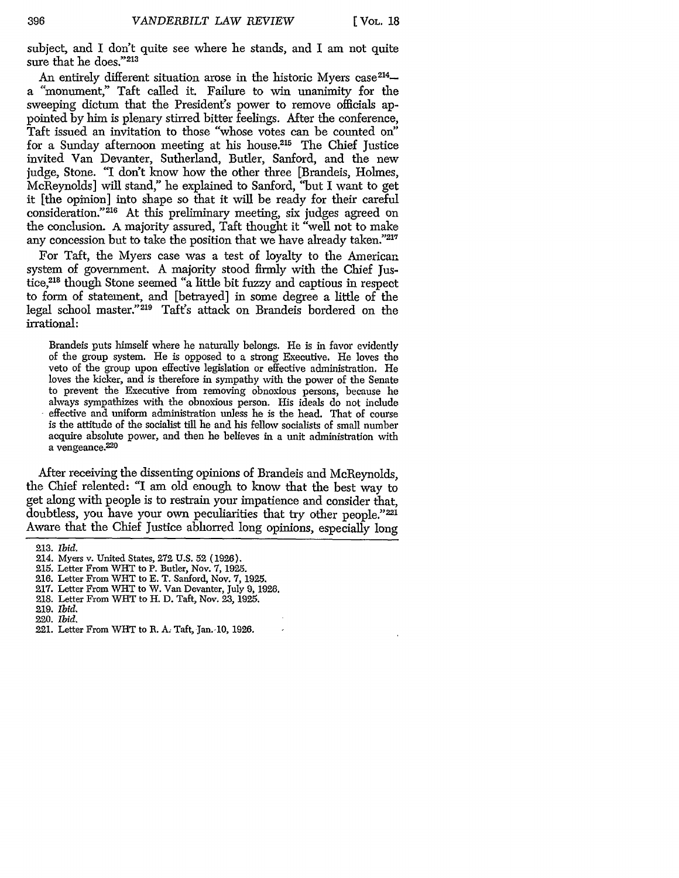subject, and I don't quite see where he stands, and I am not quite sure that he does."213

An entirely different situation arose in the historic Myers case<sup>214</sup>a "monument," Taft called it. Failure to win unanimity for the sweeping dictum that the President's power to remove officials appointed by him is plenary stirred bitter feelings. After the conference, Taft issued an invitation to those "whose votes can be counted on" for a Sunday afternoon meeting at his house.215 The Chief Justice invited Van Devanter, Sutherland, Butler, Sanford, and the new judge, Stone. "I don't know how the other three [Brandeis, Holmes, McReynolds] will stand," he explained to Sanford, "but I want to get it [the opinion] into shape so that it will be ready for their careful consideration."<sup>216</sup> At this preliminary meeting, six judges agreed on the conclusion. A majority assured, Taft thought it "well not to make any concession but to take the position that we have already taken."217

For Taft, the Myers case was a test of loyalty to the American system of government. A majority stood firmly with the Chief Justice,<sup>218</sup> though Stone seemed "a little bit fuzzy and captious in respect to form of statement, and [betrayed] in some degree a little of the legal school master."<sup>219</sup> Taft's attack on Brandeis bordered on the irrational:

Brandeis puts himself where he naturally belongs. He is in favor evidently of the group system. He is opposed to a strong Executive. He loves the veto of the group upon effective legislation or effective administration. He loves the kicker, and is therefore in sympathy with the power of the Senate to prevent the Executive from removing obnoxious persons, because he always sympathizes with the obnoxious person. His ideals do not include effective and uniform administration unless he is the head. That of course is the attitude of the socialist till he and his fellow socialists of small number acquire absolute power, and then he believes in a unit administration with a vengeance.<sup>220</sup>

After receiving the dissenting opinions of Brandeis and McReynolds, the Chief relented: "I am old enough to know that the best way to get along with people is to restrain your impatience and consider that, doubtless, you have your own peculiarities that try other people."221 Aware that the Chief Justice abhorred long opinions, especially long

217. Letter From WMT to W. Van Devanter, July 9, 1926.

- 219. *Ibid.*
- 220. *ibid.*

<sup>213.</sup> *ibid.*

<sup>214.</sup> Myers v. United States, 272 U.S. 52 (1926).

<sup>215.</sup> Letter From WHT to P. Butler, Nov. 7, 1925.

<sup>216.</sup> Letter From WHT to E. T. Sanford, Nov. 7, 1925.

<sup>218.</sup> Letter From WHT to H. D. Taft, Nov. 23, 1925.

<sup>221.</sup> Letter From **WHT** to R. **A.** Taft, Jan.- **10,** 1926.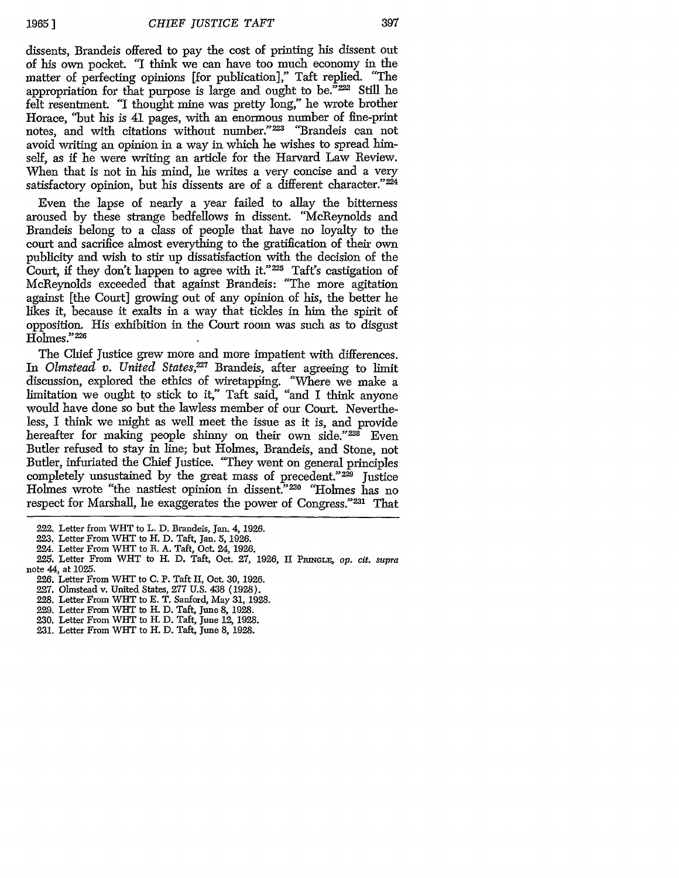397

dissents, Brandeis offered to pay the cost of printing his dissent out of his own pocket. *"I* think we can have too much economy in the matter of perfecting opinions [for publication]," Taft replied. "The appropriation for that purpose is large and ought to be."222 Still he felt resentment. "I thought mine was pretty long," he wrote brother Horace, "but his is 41 pages, with an enormous number of fine-print notes, and with citations without number."<sup>223</sup> "Brandeis can not avoid writing an opinion in a way in which he wishes to spread himself, as if he were writing an article for the Harvard Law Review. When that is not in his mind, he writes a very concise and a very satisfactory opinion, but his dissents are of a different character."<sup>224</sup>

Even the lapse of nearly a year failed to allay the bitterness aroused **by** these strange bedfellows in dissent. "McReynolds and Brandeis belong to a class of people that have no loyalty to the court and sacrifice almost everything to the gratification of their own publicity and wish to stir up dissatisfaction with the decision of the Court, if they don't happen to agree with it."225 Taft's castigation of McReynolds exceeded that against Brandeis: "The more agitation against [the Court] growing out of any opinion of his, the better he likes it, because it exalts in a way that tickles in him the spirit of opposition. His exhibition in the Court room was such as to disgust Hohnes."226

The Chief Justice grew more and more impatient with differences. In *Olmstead v. United States*,<sup>227</sup> Brandeis, after agreeing to limit discussion, explored the ethics of wiretapping. "Where we make a limitation we ought to stick to it," Taft said, "and I think anyone would have done so but the lawless member of our Court. Nevertheless, I think we might as well meet the issue as it is, and provide hereafter for making people shinny on their own side." $228$  Even Butler refused to stay in line; but Holmes, Brandeis, and Stone, not Butler, infuriated the Chief Justice. "They went on general principles completely unsustained by the great mass of precedent."<sup>229</sup> Justice Holmes wrote "the nastiest opinion in dissent."230 "Holmes has no respect for Marshall, he exaggerates the power of Congress."<sup>231</sup> That

- **225.** Letter From WHT to H. **D.** Taft, Oct. **27, 1926, II** PmNuLx, *op. cit. supra* note 44, at 1025.
	- 226. Letter From WHT to C. P. Taft II, Oct. 30, 1926.
	- 227. Olmstead v. United States, **277** U.S. 438 **(1928).**
	- 228. Letter From WIHT to E. T. Sanford, May 31, 1928.
	- 229. Letter From **WiT** to H. D. Taft, June 8, 1928.
	- 230. Letter From WHT to H. D. Taft, June 12, 1928.
	- 231. Letter From WHT to H. D. Taft, June 8, **1928.**

<sup>222.</sup> Letter from WHT to L. D. Brandeis, Jan. 4, 1926.

<sup>223.</sup> Letter From WHT to H. D. Taft, Jan. 5, 1926.

<sup>224.</sup> Letter From WHT to R. A. Taft, **Oct** 24, 1926.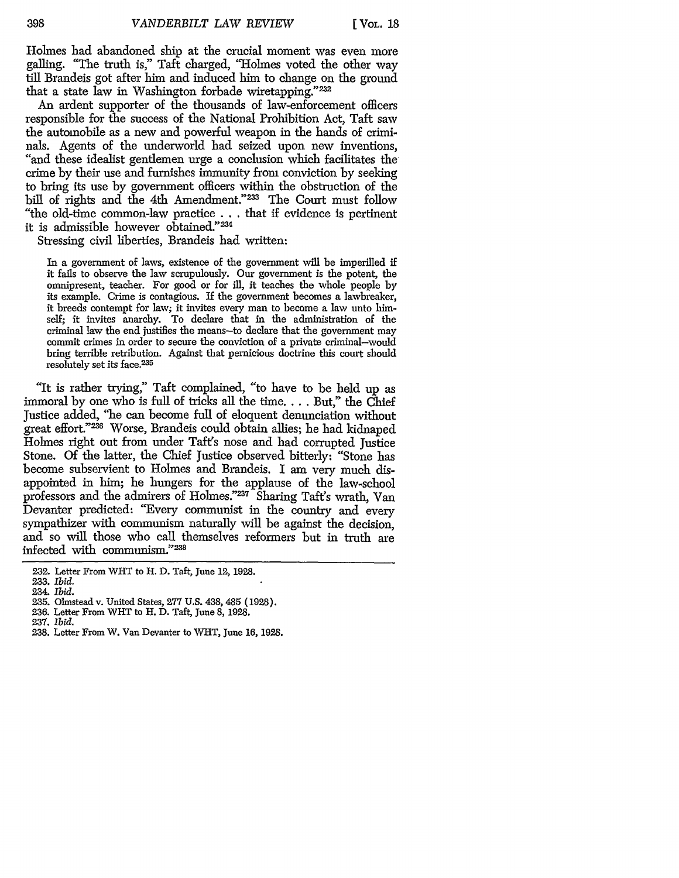Holmes had abandoned ship at the crucial moment was even more galling. "The truth is," Taft charged, "Holmes voted the other way till Brandeis got after him and induced him to change on the ground that a state law in Washington forbade wiretapping."232

An ardent supporter of the thousands of law-enforcement officers responsible for the success of the National Prohibition Act, Taft saw the automobile as a new and powerful weapon in the hands of crimi-"and these idealist gentlemen urge a conclusion which facilitates the crime by their use and furnishes immunity from conviction by seeking to bring its use by government officers within the obstruction of the bill of rights and the 4th Amendment."<sup>233</sup> The Court must follow "the old-time common-law practice . **..** that if evidence is pertinent it is admissible however obtained."234

Stressing civil liberties, Brandeis had written:

In a government of laws, existence of the government will be imperilled if it fails to observe the law scrupulously. Our government is the potent, the omnipresent, teacher. For good or for ill, it teaches the whole people by its example. Crime is contagious. **If** the government becomes a lawbreaker, it breeds contempt for law; it invites every man to become a law unto himself; it invites anarchy. To declare that in the administration of the criminal law the end justifies the means-to declare that the government may commit crimes in order to secure the conviction of a private criminal-would bring terrible retribution. Against that pernicious doctrine this court should resolutely set its face.<sup>235</sup>

"It is rather trying," Taft complained, "to have to be held up as immoral by one who is full of tricks all the time.... But," the Chief Justice added, "he can become full of eloquent denunciation without great effort."<sup>236</sup> Worse, Brandeis could obtain allies; he had kidnaped Holmes right out from under Taft's nose and had corrupted Justice Stone. Of the latter, the Chief Justice observed bitterly: "Stone has become subservient to Holmes and Brandeis. I am very much disappointed in him; he hungers for the applause of the law-school professors and the admirers of Holmes."237 Sharing Taft's wrath, Van Devanter predicted: "Every communist in the country and every sympathizer with communism naturally will be against the decision, and so will those who call themselves reformers but in truth are infected with communism."238

<sup>232.</sup> Letter From WHT to H. D. Taft, June 12, 1928.

**<sup>233.</sup>** *Ibid.*

<sup>234.</sup> *Ibid.*

<sup>235.</sup> Olmstead v. United States, **277** U.S. 438, 485 (1928).

<sup>36.</sup> Letter From WHT to H. D. Taft, June 8, 1928.

<sup>237.</sup> *Ibid.*

<sup>238.</sup> Letter From W. Van Devanter to WHT, June 16, 1928.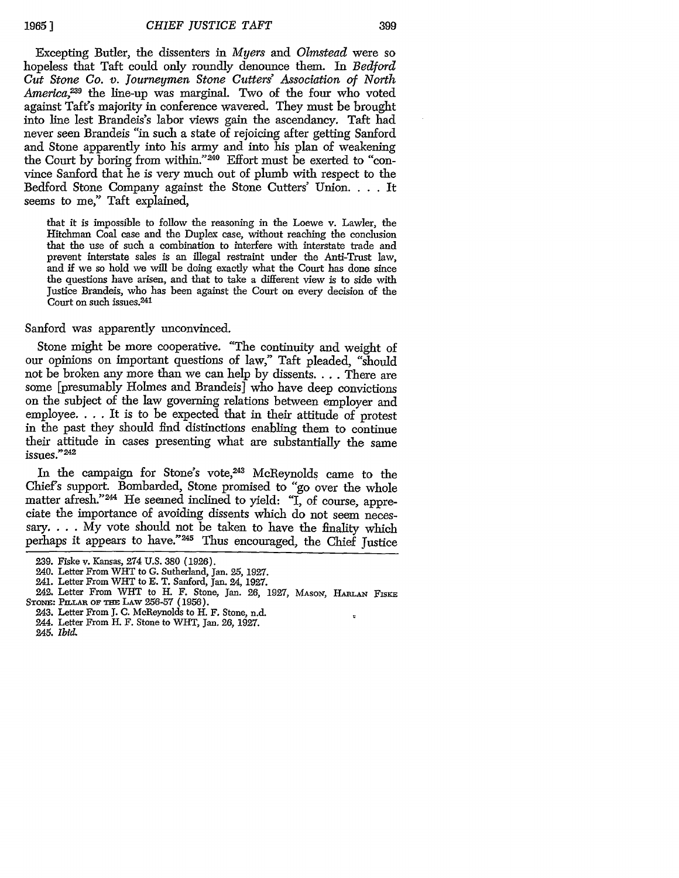19651

399

Excepting Butler, the dissenters in *Myers and Olmstead* were so hopeless that Taft could only roundly denounce them. In *Bedford Cut Stone Co. v. Journeymen Stone Cutters' Association of North America,29* the line-up was marginal. Two of the four who voted against Taft's majority in conference wavered. They must be brought into line lest Brandeis's labor views gain the ascendancy. Taft had never seen Brandeis "in such a state of rejoicing after getting Sanford and Stone apparently into his army and into his plan of weakening the Court by boring from within."<sup>240</sup> Effort must be exerted to "convince Sanford that he is very much out of plumb with respect to the Bedford Stone Company against the Stone Cutters' Union. . **.** . It seems to me," Taft explained,

that it is impossible to follow the reasoning in the Loewe v. Lawler, the Hitchman Coal case and the Duplex case, without reaching the conclusion that the use of such a combination to interfere with interstate trade and prevent interstate sales is an illegal restraint under the Anti-Trust law, and if we so hold we will be doing exactly what the Court has done since the questions have arisen, and that to take a different view is to side with Justice Brandeis, who has been against the Court on every decision of the Court on such issues.<sup>241</sup>

Sanford was apparently unconvinced.

Stone might be more cooperative. "The continuity and weight of our opinions on important questions of law," Taft pleaded, "should not be broken any more than we can help by dissents.... There are some [presumably Holmes and Brandeis] who have deep convictions on the subject of the law governing relations between employer and employee. . . . It is to be expected that in their attitude of protest in the past they should find distinctions enabling them to continue their attitude in cases presenting what are substantially the same issues."242

In the campaign for Stone's vote, 243 McReynolds came to the Chief's support. Bombarded, Stone promised to "go over the whole matter afresh."<sup>244</sup> He seemed inclined to yield: "I, of course, appreciate the importance of avoiding dissents which do not seem necessary...  $\tilde{My}$  vote should not be taken to have the finality which perhaps it appears to have."<sup>245</sup> Thus encouraged, the Chief Justice

 $\overline{v}$ 

- 244. Letter From H. F. Stone to WHT, Jan. 26, 1927.
- 245. *Ibid.*

<sup>239.</sup> Fiske v. Kansas, 274 U.S. 380 (1926).

<sup>240.</sup> Letter From WHIT to G. Sutherland, Jan. 25, 1927.

<sup>241.</sup> Letter From WHT to E. T. Sanford, Jan. 24, 1927.

<sup>242.</sup> Letter From WHT to H. F. Stone, Jan. **26,** 1927, MAsoN, HAm-AN FISKE STONE: PILLAR OF THE LAW 256-57 (1956)

<sup>243.</sup> Letter From **J.** C. McReynolds to H. F. Stone, n.d.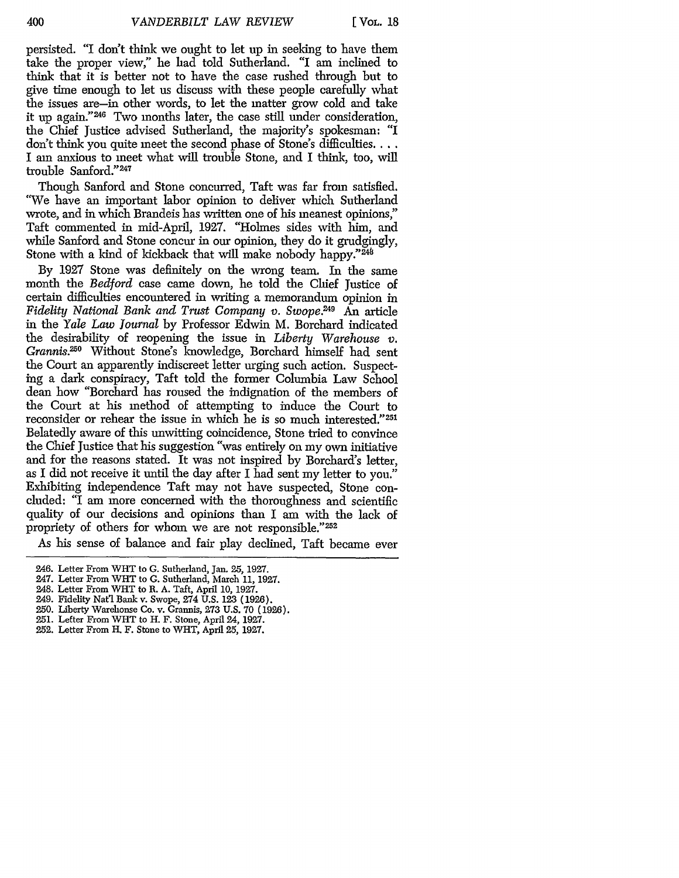persisted. "I don't think we ought to let up in seeking to have them take the proper view," he had told Sutherland. "I am inclined to think that it is better not to have the case rushed through but to give time enough to let us discuss with these people carefully what the issues are-in other words, to let the matter grow cold and take it up again."<sup>246</sup> Two months later, the case still under consideration, the Chief Justice advised Sutherland, the majority's spokesman: "I don't think you quite meet the second phase of Stone's difficulties... I am anxious to meet what will trouble Stone, and I think, too, will trouble Sanford." <sup>247</sup>

Though Sanford and Stone concurred, Taft was far from satisfied. "We have an important labor opinion to deliver which Sutherland wrote, and in which Brandeis has written one of his meanest opinions," Taft commented in mid-April, 1927. "Holmes sides with him, and while Sanford and Stone concur in our opinion, they do it grudgingly, Stone with a kind of kickback that will make nobody happy." $246$ 

By 1927 Stone was definitely on the wrong team. In the same month the *Bedford* case came down, he told the Chief Justice of certain difficulties encountered in writing a memorandum opinion in *Fidelity National Bank and Trust Company v. Swope.249* An article in the *Yale Law Journal* by Professor Edwin M. Borchard indicated the desirability of reopening the issue in *Liberty Warehouse v.* Grannis.<sup>250</sup> Without Stone's knowledge, Borchard himself had sent the Court an apparently indiscreet letter urging such action. Suspecting a dark conspiracy, Taft told the former Columbia Law School dean how "Borchard has roused the indignation of the members of the Court at his method of attempting to induce the Court to reconsider or rehear the issue in which he is so much interested."<sup>251</sup> Belatedly aware of this unwitting coincidence, Stone tried to convince the Chief Justice that his suggestion "was entirely on my own initiative and for the reasons stated. It was not inspired by Borchard's letter, as I did not receive it until the day after I had sent my letter to you." Exhibiting independence Taft may not have suspected, Stone concluded: "I am more concerned with the thoroughness and scientific quality of our decisions and opinions than I am with the lack of propriety of others for whom we are not responsible."<sup>252</sup>

As his sense of balance and fair play declined, Taft became ever

- 248. Letter From WHT to R. A. Taft, April 10, 1927.
- 249. Fidelity Nat'l Bank v. Swope, 274 **U.S.** 123 (1926).
- **250.** Liberty Warehouse Co. v. Grannis, 273 U.S. 70 (1926).
- 251. Lefter From WIlT to H. F. Stone, April 24, 1927.
- 252. Letter From H. F. Stone to WILT, April 25, 1927.

<sup>246.</sup> Letter From WIlT to G. Sutherland, Jan. 25, 1927.

<sup>247.</sup> Letter From WHT to G. Sutherland, March 11, 1927.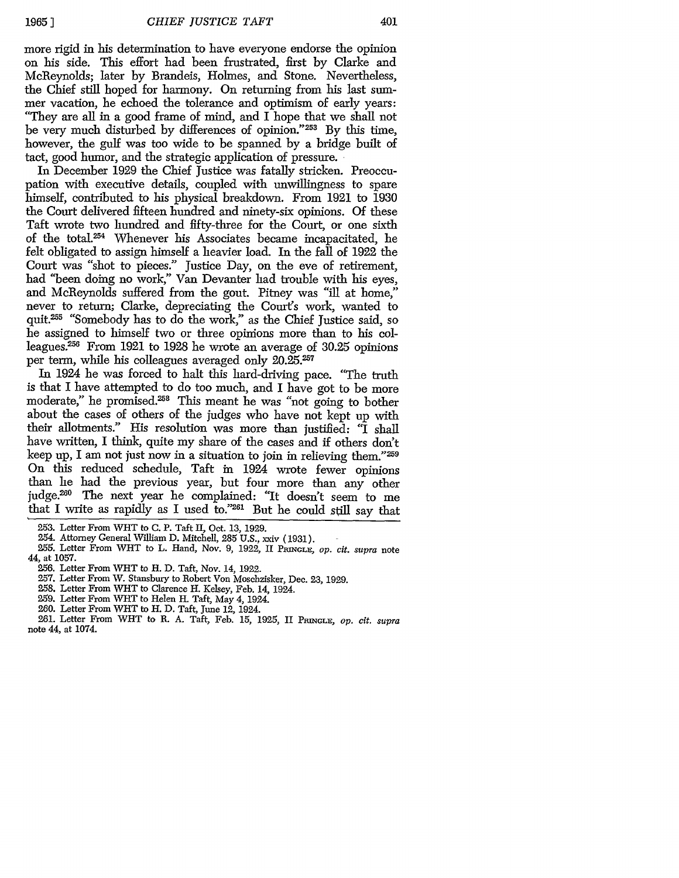more rigid in his determination to have everyone endorse the opinion on his side. This effort had been frustrated, first by Clarke and McReynolds; later by Brandeis, Holmes, and Stone. Nevertheless, the Chief still hoped for harmony. On returning from his last summer vacation, he echoed the tolerance and optimism of early years: "They are all in a good frame of mind, and I hope that we shall not be very much disturbed by differences of opinion."253 By this time, however, the gulf was too wide to be spanned by a bridge built of tact, good humor, and the strategic application of pressure.

In December 1929 the Chief Justice was fatally stricken. Preoccupation with executive details, coupled with unwillingness to spare himself, contributed to his physical breakdown. From 1921 to 1930 the Court delivered fifteen hundred and ninety-six opinions. Of these Taft wrote two hundred and fifty-three for the Court, or one sixth of the total.254 Whenever his Associates became incapacitated, he felt obligated to assign himself a heavier load. In the fall of 1922 the Court was "shot to pieces." Justice Day, on the eve of retirement, had "been doing no work," Van Devanter had trouble with his eyes, and McReynolds suffered from the gout. Pitney was "ill at home," never to return; Clarke, depreciating the Court's work, wanted to quit.<sup>255</sup> "Somebody has to do the work," as the Chief Justice said, so he assigned to himself two or three opinions more than to his colleagues.<sup>256</sup> From 1921 to 1928 he wrote an average of 30.25 opinions per term, while his colleagues averaged only 20.25.257

In 1924 he was forced to halt this hard-driving pace. "The truth is that I have attempted to do too much, and I have got to be more moderate," he promised.<sup>258</sup> This meant he was "not going to bother about the cases of others of the judges who have not kept up with their allotments." His resolution was more than justified: "I shall have written, I think, quite my share of the cases and if others don't keep up, I am not just now in a situation to join in relieving them."259 On this reduced schedule, Taft in 1924 wrote fewer opinions than he had the previous year, but four more than any other judge.<sup>260</sup> The next year he complained: "It doesn't seem to me that I write as rapidly as I used to."261 But he could still say that

- 257. Letter From W. Stansbury to Robert Von Moschzisker, Dec. **23,** 1929.
- 258. Letter From WHT to Clarence H. Kelsey, Feb. 14, 1924.
- 259. Letter From WHT to Helen H. Taft, May 4, 1924.
- 260. Letter From WHT to H. D. Taft, June 12, 1924.

261. Letter From WIlT to R. A. Taft, Feb. 15, 1925, II PRNmGLE, *op. cit. supra* note 44, at 1074.

<sup>253.</sup> Letter From WHT to C. P. Taft II, Oct. 13, 1929.

<sup>254.</sup> Attorney General William D. Mitchell, 285 U.S., xxiv (1931).

<sup>255.</sup> Letter From WHT to L. Hand, Nov. 9, 1922, II PRINGLE, op. cit. supra note 44, at 1057.

<sup>256.</sup> Letter From WHT to H. D. Taft, Nov. 14, 1922.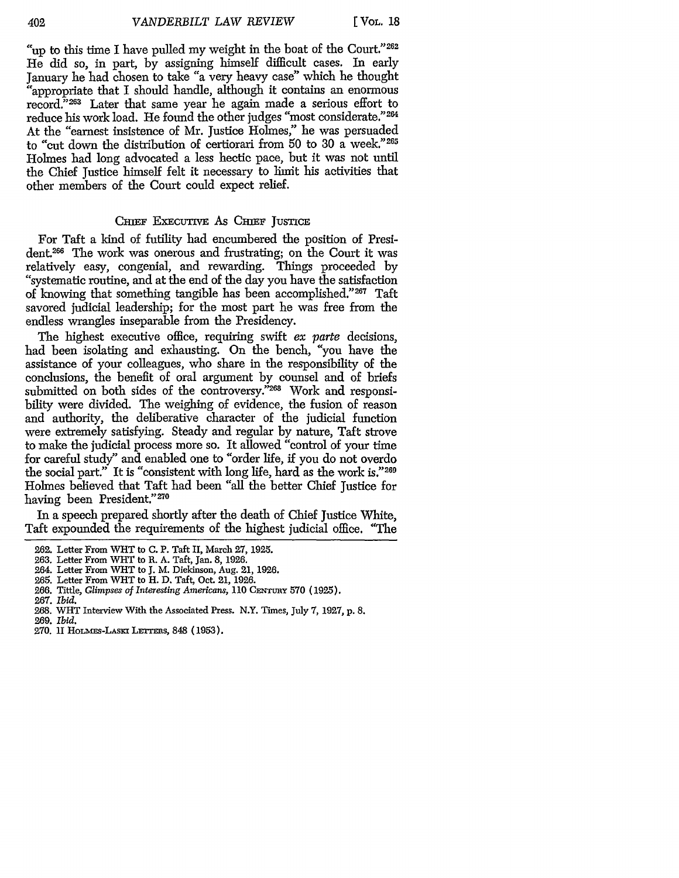"up to this time I have pulled my weight in the boat of the Court."<sup>262</sup> He did so, in part, by assigning himself difficult cases. In early January he had chosen to take "a very heavy case" which he thought "appropriate that I should handle, although it contains an enormous record."<sup>263</sup> Later that same year he again made a serious effort to reduce his work load. He found the other judges "most considerate." 264 At the "earnest insistence of Mr. Justice Holmes," he was persuaded to "cut down the distribution of certiorari from 50 to 30 a week."<sup>265</sup> Holmes had long advocated a less hectic pace, but it was not until the Chief Justice himself felt it necessary to limit his activities that other members of the Court could expect relief.

#### CHIEF EXECUTIVE AS CHIEF JUSTICE

For Taft a kind of futility had encumbered the position of President.26 The work was onerous and frustrating; on the Court it was relatively easy, congenial, and rewarding. Things proceeded by "systematic routine, and at the end of the day you have the satisfaction of knowing that something tangible has been accomplished."267 Taft savored judicial leadership; for the most part he was free from the endless wrangles inseparable from the Presidency.

The highest executive office, requiring swift ex parte decisions, had been isolating and exhausting. On the bench, "you have the assistance of your colleagues, who share in the responsibility of the conclusions, the benefit of oral argument by counsel and of briefs submitted on both sides of the controversy."<sup>268</sup> Work and responsibility were divided. The weighing of evidence, the fusion of reason and authority, the deliberative character of the judicial function were extremely satisfying. Steady and regular by nature, Taft strove to make the judicial process more so. It allowed "control of your time for careful study" and enabled one to "order life, if you do not overdo the social part." It is "consistent with long life, hard as the work is."269 Holmes believed that Taft had been "all the better Chief Justice for having been President."270

In a speech prepared shortly after the death of Chief Justice White, Taft expounded the requirements of the highest judicial office. "The

<sup>262.</sup> Letter From WHT to C. P. Taft II, March 27, 1925.

<sup>263.</sup> Letter From WHT to R. A. Taft, Jan. 8, 1926.

<sup>264.</sup> Letter From WHT to J. M. Dickinson, Aug. 21, 1926.

<sup>265.</sup> Letter From WHT to H. D. Taft, Oct. 21, 1926.

<sup>266.</sup> Tittle, *Glimpses of Interesting Americans,* **110** CENrtmy **570** (1925).

<sup>267.</sup> *Ibid.*

<sup>268.</sup> WHrT Interview With the Associated Press. N.Y. Times, July 7, 1927, p. 8.

<sup>269.</sup> *Ibid.*

**<sup>270.</sup>** II HoLms-LAsKi LErrEas, 848 (1953).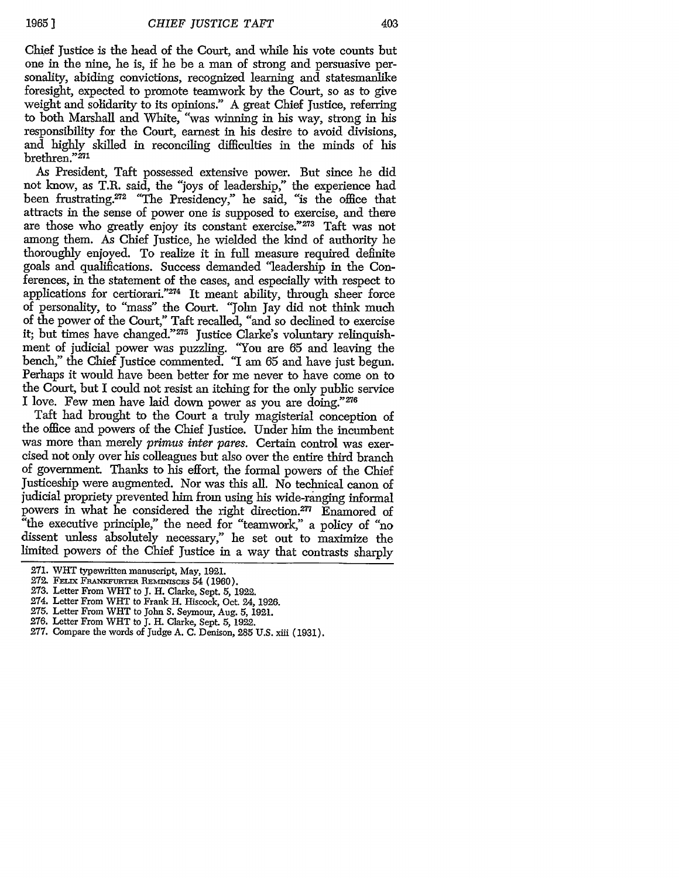Chief Justice is the head of the Court, and while his vote counts but one in the nine, he is, if he be a man of strong and persuasive personality, abiding convictions, recognized learning and statesmanlike foresight, expected to promote teamwork by the Court, so as to give weight and solidarity to its opinions." A great Chief Justice, referring to both Marshall and White, "was winning in his way, strong in his responsibility for the Court, earnest in his desire to avoid divisions, and highly skilled in reconciling difficulties in the minds of his brethren."271

As President, Taft possessed extensive power. But since he did not know, as T.R. said, the "joys of leadership," the experience had been frustrating.<sup>272</sup> "The Presidency," he said, "is the office that attracts in the sense of power one is supposed to exercise, and there are those who greatly enjoy its constant exercise."<sup>273</sup> Taft was not among them. As Chief Justice, he wielded the kind of authority he thoroughly enjoyed. To realize it in full measure required definite goals and qualifications. Success demanded "leadership in the Conferences, in the statement of the cases, and especially with respect to applications for certiorari."<sup>274</sup> It meant ability, through sheer force of personality, to "mass" the Court. "John Jay did not think much of the power of the Court," Taft recalled, "and so declined to exercise it; but times have changed."<sup>275</sup> Justice Clarke's voluntary relinquishment of judicial power was puzzling. "You are 65 and leaving the bench," the Chief Justice commented. "I am 65 and have just begun. Perhaps it would have been better for me never to have come on to the Court, but I could not resist an itching for the only public service I love. Few men have laid down power as you are doing."276

Taft had brought to the Court a truly magisterial conception of the office and powers of the Chief Justice. Under him the incumbent was more than merely *primus inter pares.* Certain control was exercised not only over his colleagues but also over the entire third branch of government. Thanks to his effort, the formal powers of the Chief Justiceship were augmented. Nor was this all. No technical canon of judicial propriety prevented him from using his wide-ranging informal powers in what he considered the right direction.277 Enamored of "the executive principle," the need for "teamwork," a policy of "no dissent unless absolutely necessary," he set out to maximize the limited powers of the Chief Justice in a way that contrasts sharply

- 272. FELIX FRANKFURTER REMINISCES 54 (1960).
- 273. Letter From WHT to J. H. Clarke, Sept. 5, 1922.
- 274. Letter From WHT to Frank H. Hiscock, Oct. 24, 1926.
- 275. Letter From WHT to John S. Seymour, Aug. 5, 1921.
- 276. Letter From WHT to J. H. Clarke, Sept. 5, 1922.
- 277. Compare the words of Judge A. C. Denison, 285 U.S. xiii (1931).

<sup>271.</sup> WHT typewritten manuscript, May, 1921.